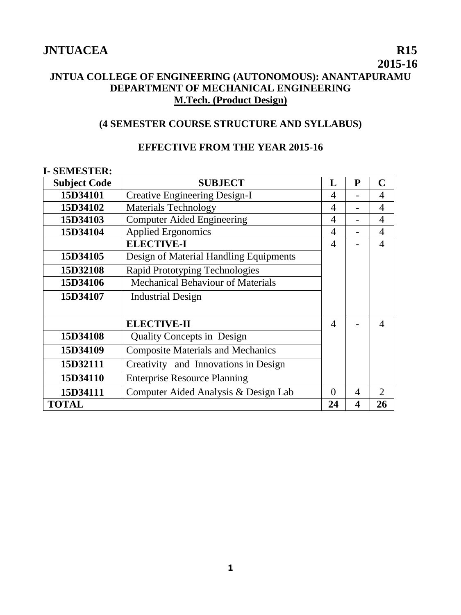## **2015-16 JNTUA COLLEGE OF ENGINEERING (AUTONOMOUS): ANANTAPURAMU DEPARTMENT OF MECHANICAL ENGINEERING M.Tech. (Product Design)**

## **(4 SEMESTER COURSE STRUCTURE AND SYLLABUS)**

## **EFFECTIVE FROM THE YEAR 2015-16**

#### **I- SEMESTER:**

| <b>Subject Code</b> | <b>SUBJECT</b>                           | L              | P | $\mathbf C$                 |
|---------------------|------------------------------------------|----------------|---|-----------------------------|
| 15D34101            | <b>Creative Engineering Design-I</b>     | 4              |   | 4                           |
| 15D34102            | <b>Materials Technology</b>              | 4              |   | $\overline{4}$              |
| 15D34103            | <b>Computer Aided Engineering</b>        | 4              |   | 4                           |
| 15D34104            | <b>Applied Ergonomics</b>                | $\overline{4}$ |   | 4                           |
|                     | <b>ELECTIVE-I</b>                        | $\overline{A}$ |   | $\overline{4}$              |
| 15D34105            | Design of Material Handling Equipments   |                |   |                             |
| 15D32108            | <b>Rapid Prototyping Technologies</b>    |                |   |                             |
| 15D34106            | <b>Mechanical Behaviour of Materials</b> |                |   |                             |
| 15D34107            | <b>Industrial Design</b>                 |                |   |                             |
|                     |                                          |                |   |                             |
|                     | <b>ELECTIVE-II</b>                       | $\overline{A}$ |   | $\overline{A}$              |
| 15D34108            | <b>Quality Concepts in Design</b>        |                |   |                             |
| 15D34109            | <b>Composite Materials and Mechanics</b> |                |   |                             |
| 15D32111            | Creativity and Innovations in Design     |                |   |                             |
| 15D34110            | <b>Enterprise Resource Planning</b>      |                |   |                             |
| 15D34111            | Computer Aided Analysis & Design Lab     | 0              | 4 | $\mathcal{D}_{\mathcal{L}}$ |
| <b>TOTAL</b>        |                                          | 24             | 4 | 26                          |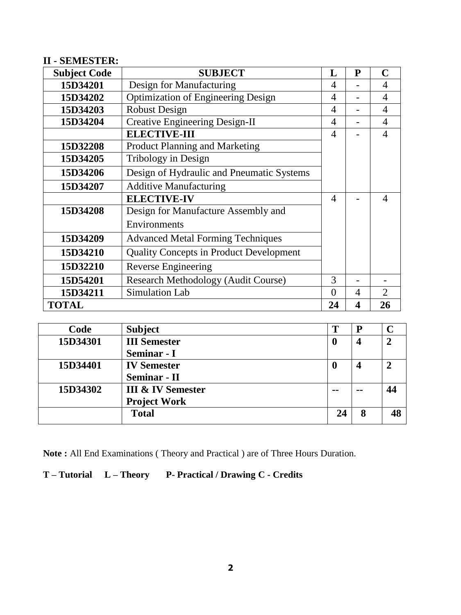## **II - SEMESTER:**

| <b>Subject Code</b> | <b>SUBJECT</b>                                 | L                        | P | C                           |
|---------------------|------------------------------------------------|--------------------------|---|-----------------------------|
| 15D34201            | Design for Manufacturing                       | 4                        |   | 4                           |
| 15D34202            | <b>Optimization of Engineering Design</b>      | 4                        |   | 4                           |
| 15D34203            | <b>Robust Design</b>                           | 4                        |   | 4                           |
| 15D34204            | <b>Creative Engineering Design-II</b>          | 4                        |   | $\overline{4}$              |
|                     | <b>ELECTIVE-III</b>                            | 4                        |   | 4                           |
| 15D32208            | Product Planning and Marketing                 |                          |   |                             |
| 15D34205            | Tribology in Design                            |                          |   |                             |
| 15D34206            | Design of Hydraulic and Pneumatic Systems      |                          |   |                             |
| 15D34207            | <b>Additive Manufacturing</b>                  |                          |   |                             |
|                     | <b>ELECTIVE-IV</b>                             | $\overline{\mathcal{A}}$ |   | $\boldsymbol{\vartriangle}$ |
| 15D34208            | Design for Manufacture Assembly and            |                          |   |                             |
| Environments        |                                                |                          |   |                             |
| 15D34209            | <b>Advanced Metal Forming Techniques</b>       |                          |   |                             |
| 15D34210            | <b>Quality Concepts in Product Development</b> |                          |   |                             |
| 15D32210            | Reverse Engineering                            |                          |   |                             |
| 15D54201            | <b>Research Methodology (Audit Course)</b>     | 3                        |   |                             |
| 15D34211            | <b>Simulation Lab</b>                          | $\Omega$                 | 4 | $\mathcal{D}_{\cdot}$       |
| <b>TOTAL</b>        |                                                | 24                       | 4 | 26                          |

| Code     | <b>Subject</b>               | Т             | P  |    |
|----------|------------------------------|---------------|----|----|
| 15D34301 | <b>III</b> Semester          | $\bf{0}$      | 4  | ↑  |
|          | Seminar - I                  |               |    |    |
| 15D34401 | <b>IV Semester</b>           | O             | 4  |    |
|          | <b>Seminar - II</b>          |               |    |    |
| 15D34302 | <b>III &amp; IV Semester</b> | $\sim$ $\sim$ | -- | 44 |
|          | <b>Project Work</b>          |               |    |    |
|          | <b>Total</b>                 | 24            | 8  | 48 |

**Note :** All End Examinations ( Theory and Practical ) are of Three Hours Duration.

## **T – Tutorial L – Theory P- Practical / Drawing C - Credits**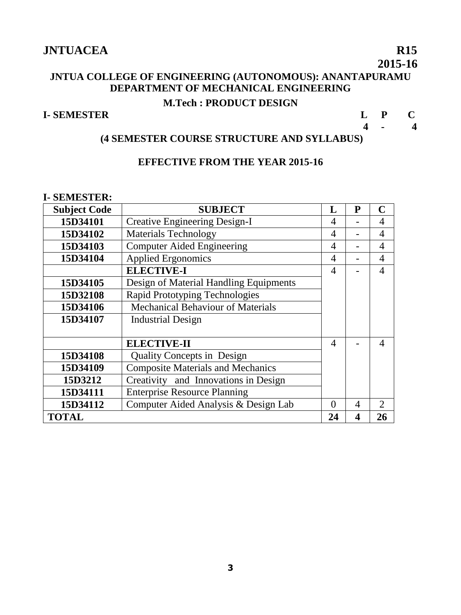## **JNTUA COLLEGE OF ENGINEERING (AUTONOMOUS): ANANTAPURAMU DEPARTMENT OF MECHANICAL ENGINEERING M.Tech : PRODUCT DESIGN**

## **I- SEMESTER L P C**

 **4 - 4**

## **(4 SEMESTER COURSE STRUCTURE AND SYLLABUS)**

## **EFFECTIVE FROM THE YEAR 2015-16**

#### **I- SEMESTER:**

| <b>Subject Code</b> | <b>SUBJECT</b>                           | L        | P                     | $\mathbf C$                 |
|---------------------|------------------------------------------|----------|-----------------------|-----------------------------|
| 15D34101            | <b>Creative Engineering Design-I</b>     | 4        |                       | 4                           |
| 15D34102            | <b>Materials Technology</b>              | 4        |                       | 4                           |
| 15D34103            | <b>Computer Aided Engineering</b>        | 4        |                       | $\overline{A}$              |
| 15D34104            | <b>Applied Ergonomics</b>                | 4        |                       | $\overline{4}$              |
|                     | <b>ELECTIVE-I</b>                        | 4        |                       | $\overline{4}$              |
| 15D34105            | Design of Material Handling Equipments   |          |                       |                             |
| 15D32108            | Rapid Prototyping Technologies           |          |                       |                             |
| 15D34106            | Mechanical Behaviour of Materials        |          |                       |                             |
| 15D34107            | <b>Industrial Design</b>                 |          |                       |                             |
|                     |                                          |          |                       |                             |
|                     | <b>ELECTIVE-II</b>                       | 4        |                       | $\overline{A}$              |
| 15D34108            | <b>Quality Concepts in Design</b>        |          |                       |                             |
| 15D34109            | <b>Composite Materials and Mechanics</b> |          |                       |                             |
| 15D3212             | Creativity and Innovations in Design     |          |                       |                             |
| 15D34111            | <b>Enterprise Resource Planning</b>      |          |                       |                             |
| 15D34112            | Computer Aided Analysis & Design Lab     | $\Omega$ | 4                     | $\mathcal{D}_{\mathcal{L}}$ |
| <b>TOTAL</b>        |                                          | 24       | $\boldsymbol{\Delta}$ | 26                          |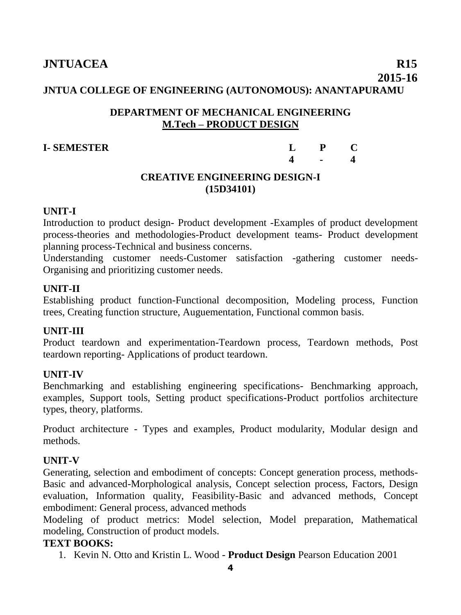#### **JNTUA COLLEGE OF ENGINEERING (AUTONOMOUS): ANANTAPURAMU**

#### **DEPARTMENT OF MECHANICAL ENGINEERING M.Tech – PRODUCT DESIGN**

#### **I- SEMESTER L P C 4 - 4**

## **CREATIVE ENGINEERING DESIGN-I (15D34101)**

#### **UNIT-I**

Introduction to product design- Product development -Examples of product development process-theories and methodologies-Product development teams- Product development planning process-Technical and business concerns.

Understanding customer needs-Customer satisfaction -gathering customer needs-Organising and prioritizing customer needs.

#### **UNIT-II**

Establishing product function-Functional decomposition, Modeling process, Function trees, Creating function structure, Auguementation, Functional common basis.

#### **UNIT-III**

Product teardown and experimentation-Teardown process, Teardown methods, Post teardown reporting- Applications of product teardown.

#### **UNIT-IV**

Benchmarking and establishing engineering specifications- Benchmarking approach, examples, Support tools, Setting product specifications-Product portfolios architecture types, theory, platforms.

Product architecture - Types and examples, Product modularity, Modular design and methods.

#### **UNIT-V**

Generating, selection and embodiment of concepts: Concept generation process, methods-Basic and advanced-Morphological analysis, Concept selection process, Factors, Design evaluation, Information quality, Feasibility-Basic and advanced methods, Concept embodiment: General process, advanced methods

Modeling of product metrics: Model selection, Model preparation, Mathematical modeling, Construction of product models.

## **TEXT BOOKS:**

1. Kevin N. Otto and Kristin L. Wood - **Product Design** Pearson Education 2001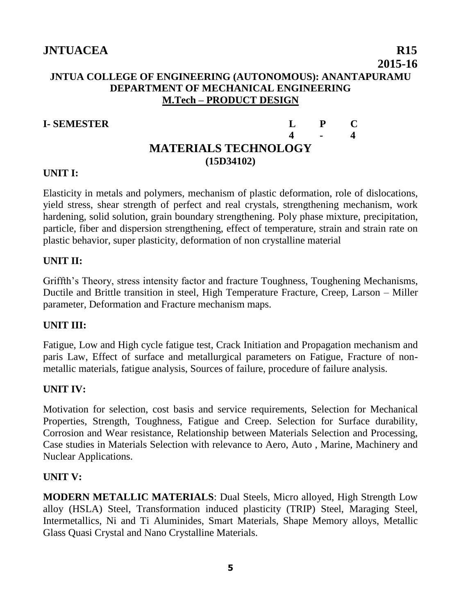## **JNTUA COLLEGE OF ENGINEERING (AUTONOMOUS): ANANTAPURAMU DEPARTMENT OF MECHANICAL ENGINEERING M.Tech – PRODUCT DESIGN**

## **I- SEMESTER L P C**

## **4 - 4 MATERIALS TECHNOLOGY (15D34102)**

## **UNIT I:**

Elasticity in metals and polymers, mechanism of plastic deformation, role of dislocations, yield stress, shear strength of perfect and real crystals, strengthening mechanism, work hardening, solid solution, grain boundary strengthening. Poly phase mixture, precipitation, particle, fiber and dispersion strengthening, effect of temperature, strain and strain rate on plastic behavior, super plasticity, deformation of non crystalline material

## **UNIT II:**

Griffth's Theory, stress intensity factor and fracture Toughness, Toughening Mechanisms, Ductile and Brittle transition in steel, High Temperature Fracture, Creep, Larson – Miller parameter, Deformation and Fracture mechanism maps.

## **UNIT III:**

Fatigue, Low and High cycle fatigue test, Crack Initiation and Propagation mechanism and paris Law, Effect of surface and metallurgical parameters on Fatigue, Fracture of nonmetallic materials, fatigue analysis, Sources of failure, procedure of failure analysis.

## **UNIT IV:**

Motivation for selection, cost basis and service requirements, Selection for Mechanical Properties, Strength, Toughness, Fatigue and Creep. Selection for Surface durability, Corrosion and Wear resistance, Relationship between Materials Selection and Processing, Case studies in Materials Selection with relevance to Aero, Auto , Marine, Machinery and Nuclear Applications.

## **UNIT V:**

**MODERN METALLIC MATERIALS**: Dual Steels, Micro alloyed, High Strength Low alloy (HSLA) Steel, Transformation induced plasticity (TRIP) Steel, Maraging Steel, Intermetallics, Ni and Ti Aluminides, Smart Materials, Shape Memory alloys, Metallic Glass Quasi Crystal and Nano Crystalline Materials.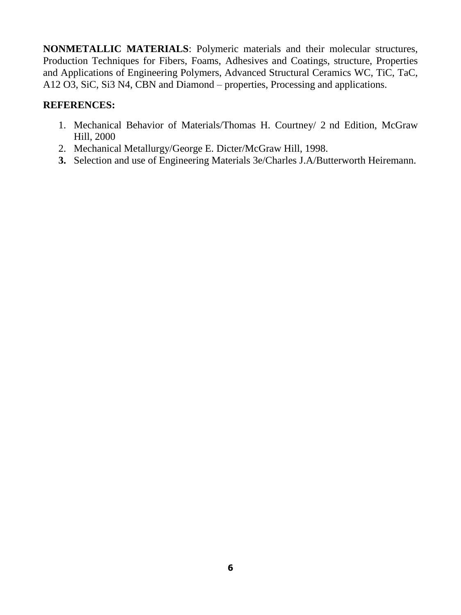**NONMETALLIC MATERIALS**: Polymeric materials and their molecular structures, Production Techniques for Fibers, Foams, Adhesives and Coatings, structure, Properties and Applications of Engineering Polymers, Advanced Structural Ceramics WC, TiC, TaC, A12 O3, SiC, Si3 N4, CBN and Diamond – properties, Processing and applications.

#### **REFERENCES:**

- 1. Mechanical Behavior of Materials/Thomas H. Courtney/ 2 nd Edition, McGraw Hill, 2000
- 2. Mechanical Metallurgy/George E. Dicter/McGraw Hill, 1998.
- **3.** Selection and use of Engineering Materials 3e/Charles J.A/Butterworth Heiremann.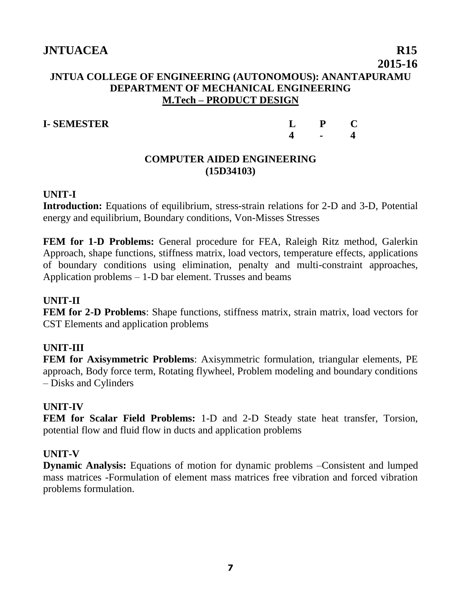## **JNTUA COLLEGE OF ENGINEERING (AUTONOMOUS): ANANTAPURAMU DEPARTMENT OF MECHANICAL ENGINEERING M.Tech – PRODUCT DESIGN**

## **I- SEMESTER**

| L                       | $\mathbf{P}$ | $\mathbf C$ |
|-------------------------|--------------|-------------|
| $\overline{\mathbf{4}}$ |              | 4           |

## **COMPUTER AIDED ENGINEERING (15D34103)**

## **UNIT-I**

**Introduction:** Equations of equilibrium, stress-strain relations for 2-D and 3-D, Potential energy and equilibrium, Boundary conditions, Von-Misses Stresses

**FEM for 1-D Problems:** General procedure for FEA, Raleigh Ritz method, Galerkin Approach, shape functions, stiffness matrix, load vectors, temperature effects, applications of boundary conditions using elimination, penalty and multi-constraint approaches, Application problems – 1-D bar element. Trusses and beams

## **UNIT-II**

**FEM for 2-D Problems**: Shape functions, stiffness matrix, strain matrix, load vectors for CST Elements and application problems

## **UNIT-III**

**FEM for Axisymmetric Problems**: Axisymmetric formulation, triangular elements, PE approach, Body force term, Rotating flywheel, Problem modeling and boundary conditions – Disks and Cylinders

## **UNIT-IV**

**FEM for Scalar Field Problems:** 1-D and 2-D Steady state heat transfer, Torsion, potential flow and fluid flow in ducts and application problems

## **UNIT-V**

**Dynamic Analysis:** Equations of motion for dynamic problems –Consistent and lumped mass matrices -Formulation of element mass matrices free vibration and forced vibration problems formulation.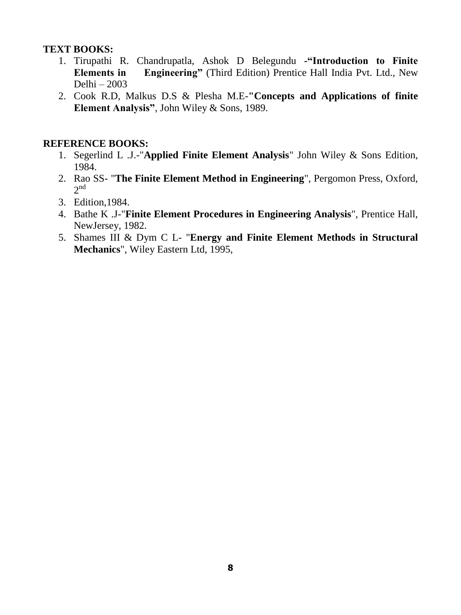## **TEXT BOOKS:**

- 1. Tirupathi R. Chandrupatla, Ashok D Belegundu **-"Introduction to Finite Elements in Engineering"** (Third Edition) Prentice Hall India Pvt. Ltd., New Delhi – 2003
- 2. Cook R.D, Malkus D.S & Plesha M.E-**"Concepts and Applications of finite Element Analysis"**, John Wiley & Sons, 1989.

#### **REFERENCE BOOKS:**

- 1. Segerlind L .J.-"**Applied Finite Element Analysis**" John Wiley & Sons Edition, 1984.
- 2. Rao SS- "**The Finite Element Method in Engineering**", Pergomon Press, Oxford,  $2<sup>nd</sup>$
- 3. Edition,1984.
- 4. Bathe K .J-"**Finite Element Procedures in Engineering Analysis**", Prentice Hall, NewJersey, 1982.
- 5. Shames III & Dym C L- "**Energy and Finite Element Methods in Structural Mechanics**", Wiley Eastern Ltd, 1995,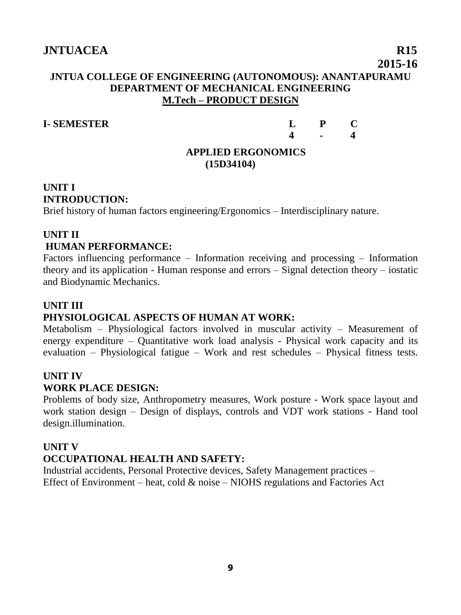## **JNTUA COLLEGE OF ENGINEERING (AUTONOMOUS): ANANTAPURAMU DEPARTMENT OF MECHANICAL ENGINEERING M.Tech – PRODUCT DESIGN**

**I- SEMESTER L P C 4 - 4**

#### **APPLIED ERGONOMICS (15D34104)**

## **UNIT I INTRODUCTION:**

Brief history of human factors engineering/Ergonomics – Interdisciplinary nature.

## **UNIT II HUMAN PERFORMANCE:**

Factors influencing performance – Information receiving and processing – Information theory and its application - Human response and errors – Signal detection theory – iostatic and Biodynamic Mechanics.

## **UNIT III**

## **PHYSIOLOGICAL ASPECTS OF HUMAN AT WORK:**

Metabolism – Physiological factors involved in muscular activity – Measurement of energy expenditure – Quantitative work load analysis - Physical work capacity and its evaluation – Physiological fatigue – Work and rest schedules – Physical fitness tests.

## **UNIT IV**

## **WORK PLACE DESIGN:**

Problems of body size, Anthropometry measures, Work posture - Work space layout and work station design – Design of displays, controls and VDT work stations - Hand tool design.illumination.

## **UNIT V**

## **OCCUPATIONAL HEALTH AND SAFETY:**

Industrial accidents, Personal Protective devices, Safety Management practices – Effect of Environment – heat, cold & noise – NIOHS regulations and Factories Act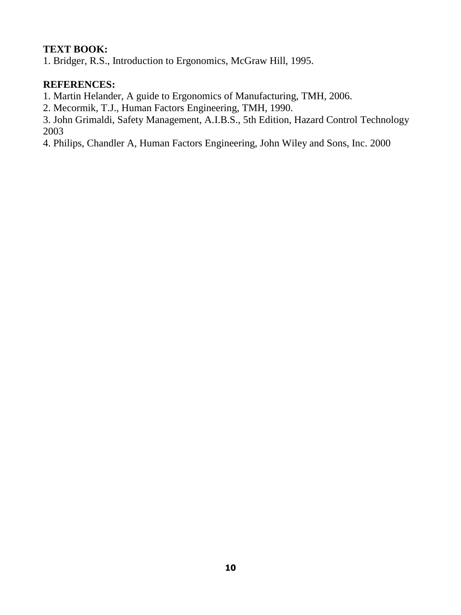## **TEXT BOOK:**

1. Bridger, R.S., Introduction to Ergonomics, McGraw Hill, 1995.

## **REFERENCES:**

1. Martin Helander, A guide to Ergonomics of Manufacturing, TMH, 2006.

2. Mecormik, T.J., Human Factors Engineering, TMH, 1990.

3. John Grimaldi, Safety Management, A.I.B.S., 5th Edition, Hazard Control Technology 2003

4. Philips, Chandler A, Human Factors Engineering, John Wiley and Sons, Inc. 2000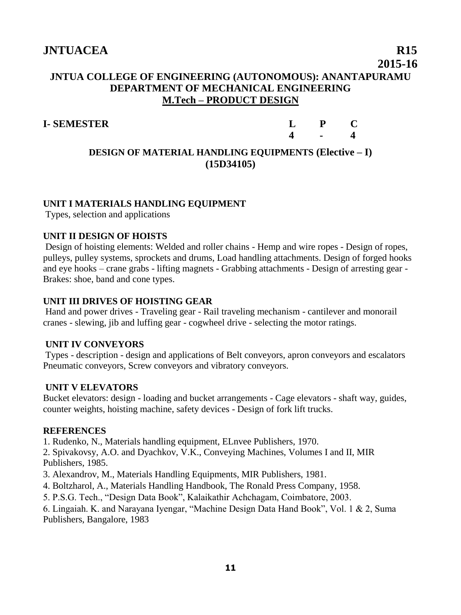## **JNTUA COLLEGE OF ENGINEERING (AUTONOMOUS): ANANTAPURAMU DEPARTMENT OF MECHANICAL ENGINEERING M.Tech – PRODUCT DESIGN**

## **I- SEMESTER L P C**

**4 - 4**

## **DESIGN OF MATERIAL HANDLING EQUIPMENTS (Elective – I) (15D34105)**

#### **UNIT I MATERIALS HANDLING EQUIPMENT**

Types, selection and applications

#### **UNIT II DESIGN OF HOISTS**

Design of hoisting elements: Welded and roller chains - Hemp and wire ropes - Design of ropes, pulleys, pulley systems, sprockets and drums, Load handling attachments. Design of forged hooks and eye hooks – crane grabs - lifting magnets - Grabbing attachments - Design of arresting gear - Brakes: shoe, band and cone types.

#### **UNIT III DRIVES OF HOISTING GEAR**

Hand and power drives - Traveling gear - Rail traveling mechanism - cantilever and monorail cranes - slewing, jib and luffing gear - cogwheel drive - selecting the motor ratings.

#### **UNIT IV CONVEYORS**

Types - description - design and applications of Belt conveyors, apron conveyors and escalators Pneumatic conveyors, Screw conveyors and vibratory conveyors.

#### **UNIT V ELEVATORS**

Bucket elevators: design - loading and bucket arrangements - Cage elevators - shaft way, guides, counter weights, hoisting machine, safety devices - Design of fork lift trucks.

#### **REFERENCES**

1. Rudenko, N., Materials handling equipment, ELnvee Publishers, 1970.

2. Spivakovsy, A.O. and Dyachkov, V.K., Conveying Machines, Volumes I and II, MIR Publishers, 1985.

3. Alexandrov, M., Materials Handling Equipments, MIR Publishers, 1981.

4. Boltzharol, A., Materials Handling Handbook, The Ronald Press Company, 1958.

5. P.S.G. Tech., "Design Data Book", Kalaikathir Achchagam, Coimbatore, 2003.

6. Lingaiah. K. and Narayana Iyengar, "Machine Design Data Hand Book", Vol. 1 & 2, Suma Publishers, Bangalore, 1983

 **2015-16**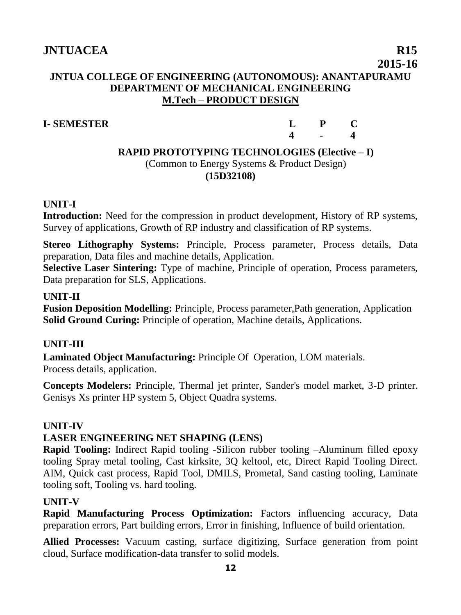## **JNTUA COLLEGE OF ENGINEERING (AUTONOMOUS): ANANTAPURAMU DEPARTMENT OF MECHANICAL ENGINEERING M.Tech – PRODUCT DESIGN**

## **I- SEMESTER**

| L                | P | $\mathbf C$      |
|------------------|---|------------------|
| $\boldsymbol{4}$ |   | $\blacktriangle$ |

## **RAPID PROTOTYPING TECHNOLOGIES (Elective – I)** (Common to Energy Systems & Product Design) **(15D32108)**

## **UNIT-I**

**Introduction:** Need for the compression in product development, History of RP systems, Survey of applications, Growth of RP industry and classification of RP systems.

**Stereo Lithography Systems:** Principle, Process parameter, Process details, Data preparation, Data files and machine details, Application.

**Selective Laser Sintering:** Type of machine, Principle of operation, Process parameters, Data preparation for SLS, Applications.

## **UNIT-II**

**Fusion Deposition Modelling:** Principle, Process parameter,Path generation, Application **Solid Ground Curing:** Principle of operation, Machine details, Applications.

## **UNIT-III**

**Laminated Object Manufacturing:** Principle Of Operation, LOM materials. Process details, application.

**Concepts Modelers:** Principle, Thermal jet printer, Sander's model market, 3-D printer. Genisys Xs printer HP system 5, Object Quadra systems.

## **UNIT-IV**

## **LASER ENGINEERING NET SHAPING (LENS)**

**Rapid Tooling:** Indirect Rapid tooling -Silicon rubber tooling –Aluminum filled epoxy tooling Spray metal tooling, Cast kirksite, 3Q keltool, etc, Direct Rapid Tooling Direct. AIM, Quick cast process, Rapid Tool, DMILS, Prometal, Sand casting tooling, Laminate tooling soft, Tooling vs. hard tooling.

## **UNIT-V**

**Rapid Manufacturing Process Optimization:** Factors influencing accuracy, Data preparation errors, Part building errors, Error in finishing, Influence of build orientation.

**Allied Processes:** Vacuum casting, surface digitizing, Surface generation from point cloud, Surface modification-data transfer to solid models.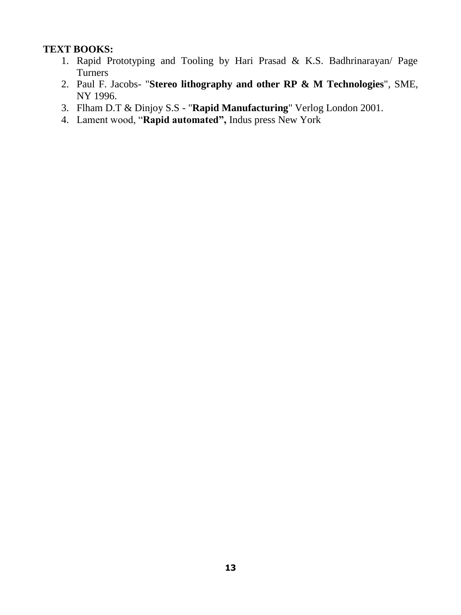## **TEXT BOOKS:**

- 1. Rapid Prototyping and Tooling by Hari Prasad & K.S. Badhrinarayan/ Page Turners
- 2. Paul F. Jacobs- "**Stereo lithography and other RP & M Technologies**", SME, NY 1996.
- 3. Flham D.T & Dinjoy S.S "**Rapid Manufacturing**" Verlog London 2001.
- 4. Lament wood, "**Rapid automated",** Indus press New York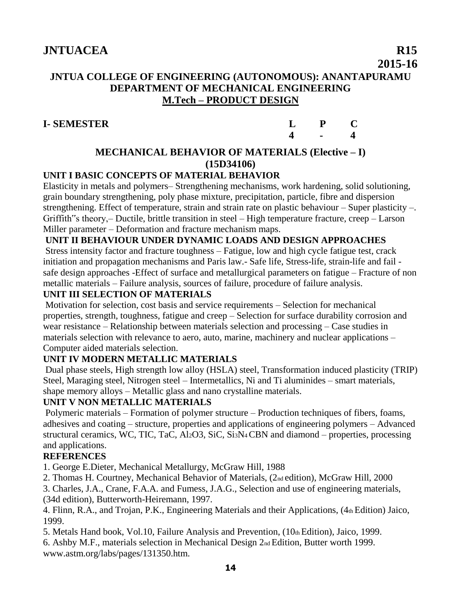## **JNTUA COLLEGE OF ENGINEERING (AUTONOMOUS): ANANTAPURAMU DEPARTMENT OF MECHANICAL ENGINEERING M.Tech – PRODUCT DESIGN**

## **I- SEMESTER**

| L                | ${\bf P}$      | C                       |
|------------------|----------------|-------------------------|
| $\boldsymbol{4}$ | $\blacksquare$ | $\overline{\mathbf{4}}$ |

## **MECHANICAL BEHAVIOR OF MATERIALS (Elective – I) (15D34106)**

## **UNIT I BASIC CONCEPTS OF MATERIAL BEHAVIOR**

Elasticity in metals and polymers– Strengthening mechanisms, work hardening, solid solutioning, grain boundary strengthening, poly phase mixture, precipitation, particle, fibre and dispersion strengthening. Effect of temperature, strain and strain rate on plastic behaviour – Super plasticity –. Griffith"s theory,– Ductile, brittle transition in steel – High temperature fracture, creep – Larson Miller parameter – Deformation and fracture mechanism maps.

#### **UNIT II BEHAVIOUR UNDER DYNAMIC LOADS AND DESIGN APPROACHES**

Stress intensity factor and fracture toughness – Fatigue, low and high cycle fatigue test, crack initiation and propagation mechanisms and Paris law.- Safe life, Stress-life, strain-life and fail safe design approaches -Effect of surface and metallurgical parameters on fatigue – Fracture of non metallic materials – Failure analysis, sources of failure, procedure of failure analysis.

## **UNIT III SELECTION OF MATERIALS**

Motivation for selection, cost basis and service requirements – Selection for mechanical properties, strength, toughness, fatigue and creep – Selection for surface durability corrosion and wear resistance – Relationship between materials selection and processing – Case studies in materials selection with relevance to aero, auto, marine, machinery and nuclear applications – Computer aided materials selection.

## **UNIT IV MODERN METALLIC MATERIALS**

Dual phase steels, High strength low alloy (HSLA) steel, Transformation induced plasticity (TRIP) Steel, Maraging steel, Nitrogen steel – Intermetallics, Ni and Ti aluminides – smart materials, shape memory alloys – Metallic glass and nano crystalline materials.

## **UNIT V NON METALLIC MATERIALS**

Polymeric materials – Formation of polymer structure – Production techniques of fibers, foams, adhesives and coating – structure, properties and applications of engineering polymers – Advanced structural ceramics, WC, TIC, TaC, Al2O3, SiC, Si3N4 CBN and diamond – properties, processing and applications.

## **REFERENCES**

1. George E.Dieter, Mechanical Metallurgy, McGraw Hill, 1988

2. Thomas H. Courtney, Mechanical Behavior of Materials, (2nd edition), McGraw Hill, 2000

3. Charles, J.A., Crane, F.A.A. and Fumess, J.A.G., Selection and use of engineering materials, (34d edition), Butterworth-Heiremann, 1997.

4. Flinn, R.A., and Trojan, P.K., Engineering Materials and their Applications, (4th Edition) Jaico, 1999.

5. Metals Hand book, Vol.10, Failure Analysis and Prevention, (10th Edition), Jaico, 1999.

6. Ashby M.F., materials selection in Mechanical Design 2nd Edition, Butter worth 1999. www.astm.org/labs/pages/131350.htm.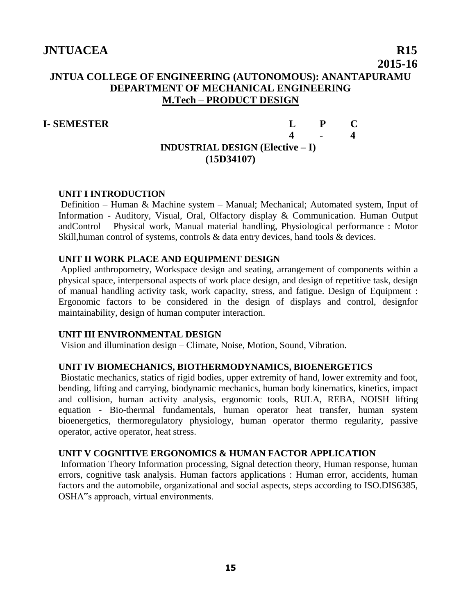## **JNTUA COLLEGE OF ENGINEERING (AUTONOMOUS): ANANTAPURAMU DEPARTMENT OF MECHANICAL ENGINEERING M.Tech – PRODUCT DESIGN**

#### **I- SEMESTER L P C**

## **4 - 4 INDUSTRIAL DESIGN (Elective – I) (15D34107)**

#### **UNIT I INTRODUCTION**

Definition – Human & Machine system – Manual; Mechanical; Automated system, Input of Information - Auditory, Visual, Oral, Olfactory display & Communication. Human Output andControl – Physical work, Manual material handling, Physiological performance : Motor Skill,human control of systems, controls & data entry devices, hand tools & devices.

#### **UNIT II WORK PLACE AND EQUIPMENT DESIGN**

Applied anthropometry, Workspace design and seating, arrangement of components within a physical space, interpersonal aspects of work place design, and design of repetitive task, design of manual handling activity task, work capacity, stress, and fatigue. Design of Equipment : Ergonomic factors to be considered in the design of displays and control, designfor maintainability, design of human computer interaction.

#### **UNIT III ENVIRONMENTAL DESIGN**

Vision and illumination design – Climate, Noise, Motion, Sound, Vibration.

#### **UNIT IV BIOMECHANICS, BIOTHERMODYNAMICS, BIOENERGETICS**

Biostatic mechanics, statics of rigid bodies, upper extremity of hand, lower extremity and foot, bending, lifting and carrying, biodynamic mechanics, human body kinematics, kinetics, impact and collision, human activity analysis, ergonomic tools, RULA, REBA, NOISH lifting equation - Bio-thermal fundamentals, human operator heat transfer, human system bioenergetics, thermoregulatory physiology, human operator thermo regularity, passive operator, active operator, heat stress.

#### **UNIT V COGNITIVE ERGONOMICS & HUMAN FACTOR APPLICATION**

Information Theory Information processing, Signal detection theory, Human response, human errors, cognitive task analysis. Human factors applications : Human error, accidents, human factors and the automobile, organizational and social aspects, steps according to ISO.DIS6385, OSHA"s approach, virtual environments.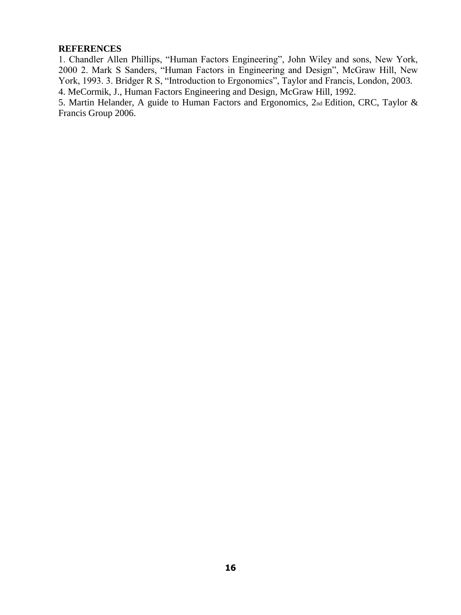#### **REFERENCES**

1. Chandler Allen Phillips, "Human Factors Engineering", John Wiley and sons, New York, 2000 2. Mark S Sanders, "Human Factors in Engineering and Design", McGraw Hill, New York, 1993. 3. Bridger R S, "Introduction to Ergonomics", Taylor and Francis, London, 2003. 4. MeCormik, J., Human Factors Engineering and Design, McGraw Hill, 1992.

5. Martin Helander, A guide to Human Factors and Ergonomics, 2nd Edition, CRC, Taylor & Francis Group 2006.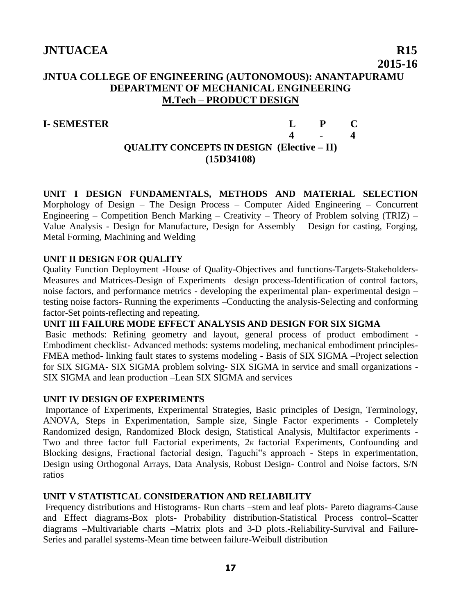## **JNTUA COLLEGE OF ENGINEERING (AUTONOMOUS): ANANTAPURAMU DEPARTMENT OF MECHANICAL ENGINEERING M.Tech – PRODUCT DESIGN**

## **I- SEMESTER L P C 4 - 4 QUALITY CONCEPTS IN DESIGN (Elective – II) (15D34108)**

**UNIT I DESIGN FUNDAMENTALS, METHODS AND MATERIAL SELECTION**  Morphology of Design – The Design Process – Computer Aided Engineering – Concurrent Engineering – Competition Bench Marking – Creativity – Theory of Problem solving (TRIZ) – Value Analysis - Design for Manufacture, Design for Assembly – Design for casting, Forging, Metal Forming, Machining and Welding

#### **UNIT II DESIGN FOR QUALITY**

Quality Function Deployment **-**House of Quality-Objectives and functions-Targets-Stakeholders-Measures and Matrices-Design of Experiments –design process-Identification of control factors, noise factors, and performance metrics - developing the experimental plan- experimental design – testing noise factors- Running the experiments –Conducting the analysis-Selecting and conforming factor-Set points-reflecting and repeating.

#### **UNIT III FAILURE MODE EFFECT ANALYSIS AND DESIGN FOR SIX SIGMA**

Basic methods: Refining geometry and layout, general process of product embodiment - Embodiment checklist- Advanced methods: systems modeling, mechanical embodiment principles-FMEA method- linking fault states to systems modeling - Basis of SIX SIGMA –Project selection for SIX SIGMA- SIX SIGMA problem solving- SIX SIGMA in service and small organizations - SIX SIGMA and lean production –Lean SIX SIGMA and services

#### **UNIT IV DESIGN OF EXPERIMENTS**

Importance of Experiments, Experimental Strategies, Basic principles of Design, Terminology, ANOVA, Steps in Experimentation, Sample size, Single Factor experiments - Completely Randomized design, Randomized Block design, Statistical Analysis, Multifactor experiments - Two and three factor full Factorial experiments, 2K factorial Experiments, Confounding and Blocking designs, Fractional factorial design, Taguchi"s approach - Steps in experimentation, Design using Orthogonal Arrays, Data Analysis, Robust Design- Control and Noise factors, S/N ratios

#### **UNIT V STATISTICAL CONSIDERATION AND RELIABILITY**

Frequency distributions and Histograms- Run charts –stem and leaf plots- Pareto diagrams-Cause and Effect diagrams-Box plots- Probability distribution-Statistical Process control–Scatter diagrams –Multivariable charts –Matrix plots and 3-D plots.-Reliability-Survival and Failure-Series and parallel systems-Mean time between failure-Weibull distribution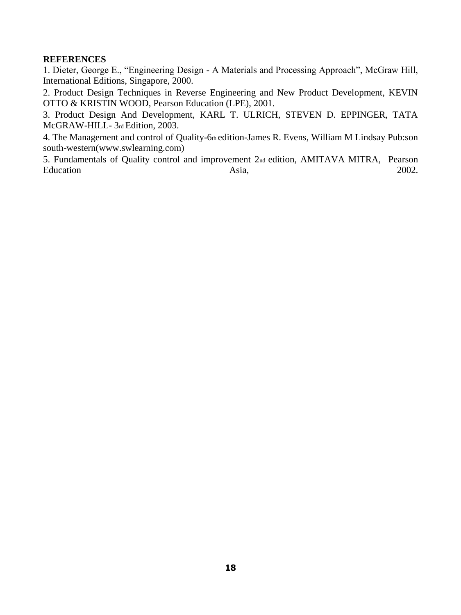#### **REFERENCES**

1. Dieter, George E., "Engineering Design - A Materials and Processing Approach", McGraw Hill, International Editions, Singapore, 2000.

2. Product Design Techniques in Reverse Engineering and New Product Development, KEVIN OTTO & KRISTIN WOOD, Pearson Education (LPE), 2001.

3. Product Design And Development, KARL T. ULRICH, STEVEN D. EPPINGER, TATA McGRAW-HILL- 3rd Edition, 2003.

4. The Management and control of Quality-6th edition-James R. Evens, William M Lindsay Pub:son south-western(www.swlearning.com)

5. Fundamentals of Quality control and improvement 2nd edition, AMITAVA MITRA, Pearson Education Asia, 2002.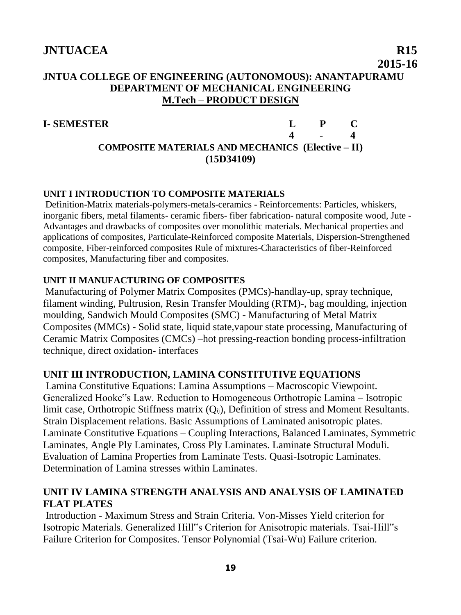## **JNTUA COLLEGE OF ENGINEERING (AUTONOMOUS): ANANTAPURAMU DEPARTMENT OF MECHANICAL ENGINEERING M.Tech – PRODUCT DESIGN**

**I- SEMESTER L P C 4 - 4 COMPOSITE MATERIALS AND MECHANICS (Elective – II) (15D34109)**

## **UNIT I INTRODUCTION TO COMPOSITE MATERIALS**

Definition-Matrix materials-polymers-metals-ceramics - Reinforcements: Particles, whiskers, inorganic fibers, metal filaments- ceramic fibers- fiber fabrication- natural composite wood, Jute - Advantages and drawbacks of composites over monolithic materials. Mechanical properties and applications of composites, Particulate-Reinforced composite Materials, Dispersion-Strengthened composite, Fiber-reinforced composites Rule of mixtures-Characteristics of fiber-Reinforced composites, Manufacturing fiber and composites.

## **UNIT II MANUFACTURING OF COMPOSITES**

Manufacturing of Polymer Matrix Composites (PMCs)-handlay-up, spray technique, filament winding, Pultrusion, Resin Transfer Moulding (RTM)-, bag moulding, injection moulding, Sandwich Mould Composites (SMC) - Manufacturing of Metal Matrix Composites (MMCs) - Solid state, liquid state,vapour state processing, Manufacturing of Ceramic Matrix Composites (CMCs) –hot pressing-reaction bonding process-infiltration technique, direct oxidation- interfaces

## **UNIT III INTRODUCTION, LAMINA CONSTITUTIVE EQUATIONS**

Lamina Constitutive Equations: Lamina Assumptions – Macroscopic Viewpoint. Generalized Hooke"s Law. Reduction to Homogeneous Orthotropic Lamina – Isotropic limit case, Orthotropic Stiffness matrix  $(O_{ii})$ , Definition of stress and Moment Resultants. Strain Displacement relations. Basic Assumptions of Laminated anisotropic plates. Laminate Constitutive Equations – Coupling Interactions, Balanced Laminates, Symmetric Laminates, Angle Ply Laminates, Cross Ply Laminates. Laminate Structural Moduli. Evaluation of Lamina Properties from Laminate Tests. Quasi-Isotropic Laminates. Determination of Lamina stresses within Laminates.

## **UNIT IV LAMINA STRENGTH ANALYSIS AND ANALYSIS OF LAMINATED FLAT PLATES**

Introduction - Maximum Stress and Strain Criteria. Von-Misses Yield criterion for Isotropic Materials. Generalized Hill"s Criterion for Anisotropic materials. Tsai-Hill"s Failure Criterion for Composites. Tensor Polynomial (Tsai-Wu) Failure criterion.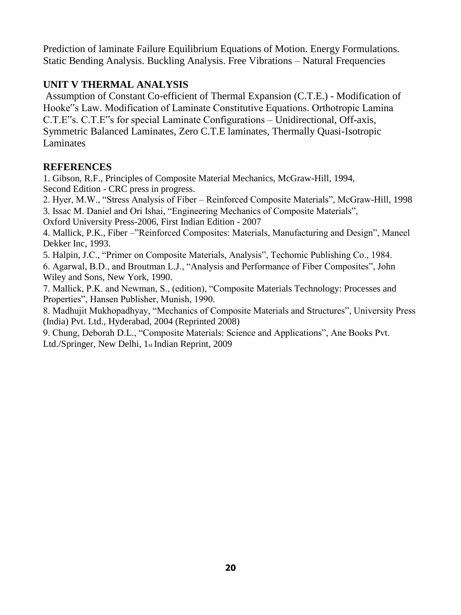Prediction of laminate Failure Equilibrium Equations of Motion. Energy Formulations. Static Bending Analysis. Buckling Analysis. Free Vibrations – Natural Frequencies

## **UNIT V THERMAL ANALYSIS**

Assumption of Constant Co-efficient of Thermal Expansion (C.T.E.) - Modification of Hooke"s Law. Modification of Laminate Constitutive Equations. Orthotropic Lamina C.T.E"s. C.T.E"s for special Laminate Configurations – Unidirectional, Off-axis, Symmetric Balanced Laminates, Zero C.T.E laminates, Thermally Quasi-Isotropic Laminates

## **REFERENCES**

1. Gibson, R.F., Principles of Composite Material Mechanics, McGraw-Hill, 1994, Second Edition - CRC press in progress.

2. Hyer, M.W., "Stress Analysis of Fiber – Reinforced Composite Materials", McGraw-Hill, 1998 3. Issac M. Daniel and Ori Ishai, "Engineering Mechanics of Composite Materials",

Oxford University Press-2006, First Indian Edition - 2007

4. Mallick, P.K., Fiber –"Reinforced Composites: Materials, Manufacturing and Design", Maneel Dekker Inc, 1993.

5. Halpin, J.C., "Primer on Composite Materials, Analysis", Techomic Publishing Co., 1984.

6. Agarwal, B.D., and Broutman L.J., "Analysis and Performance of Fiber Composites", John Wiley and Sons, New York, 1990.

7. Mallick, P.K. and Newman, S., (edition), "Composite Materials Technology: Processes and Properties", Hansen Publisher, Munish, 1990.

8. Madhujit Mukhopadhyay, "Mechanics of Composite Materials and Structures", University Press (India) Pvt. Ltd., Hyderabad, 2004 (Reprinted 2008)

9. Chung, Deborah D.L., "Composite Materials: Science and Applications", Ane Books Pvt. Ltd./Springer, New Delhi, 1st Indian Reprint, 2009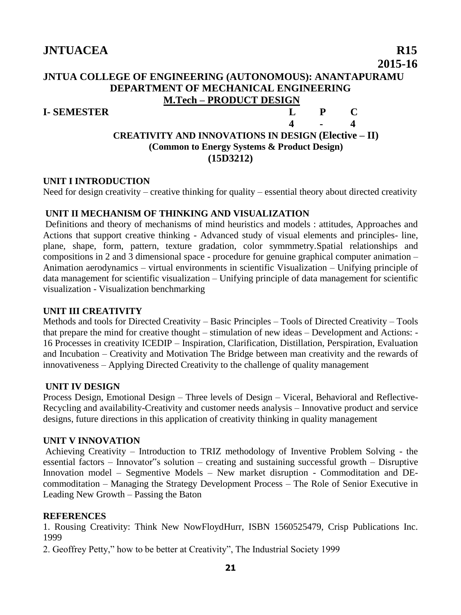## **JNTUA COLLEGE OF ENGINEERING (AUTONOMOUS): ANANTAPURAMU DEPARTMENT OF MECHANICAL ENGINEERING M.Tech – PRODUCT DESIGN**

#### **I- SEMESTER L P C**

#### **4 - 4 CREATIVITY AND INNOVATIONS IN DESIGN (Elective – II) (Common to Energy Systems & Product Design) (15D3212)**

#### **UNIT I INTRODUCTION**

Need for design creativity – creative thinking for quality – essential theory about directed creativity

#### **UNIT II MECHANISM OF THINKING AND VISUALIZATION**

Definitions and theory of mechanisms of mind heuristics and models : attitudes, Approaches and Actions that support creative thinking - Advanced study of visual elements and principles- line, plane, shape, form, pattern, texture gradation, color symmmetry.Spatial relationships and compositions in 2 and 3 dimensional space - procedure for genuine graphical computer animation – Animation aerodynamics – virtual environments in scientific Visualization – Unifying principle of data management for scientific visualization – Unifying principle of data management for scientific visualization - Visualization benchmarking

#### **UNIT III CREATIVITY**

Methods and tools for Directed Creativity – Basic Principles – Tools of Directed Creativity – Tools that prepare the mind for creative thought – stimulation of new ideas – Development and Actions: - 16 Processes in creativity ICEDIP – Inspiration, Clarification, Distillation, Perspiration, Evaluation and Incubation – Creativity and Motivation The Bridge between man creativity and the rewards of innovativeness – Applying Directed Creativity to the challenge of quality management

#### **UNIT IV DESIGN**

Process Design, Emotional Design – Three levels of Design – Viceral, Behavioral and Reflective-Recycling and availability-Creativity and customer needs analysis – Innovative product and service designs, future directions in this application of creativity thinking in quality management

#### **UNIT V INNOVATION**

Achieving Creativity – Introduction to TRIZ methodology of Inventive Problem Solving - the essential factors – Innovator"s solution – creating and sustaining successful growth – Disruptive Innovation model – Segmentive Models – New market disruption - Commoditation and DEcommoditation – Managing the Strategy Development Process – The Role of Senior Executive in Leading New Growth – Passing the Baton

#### **REFERENCES**

1. Rousing Creativity: Think New NowFloydHurr, ISBN 1560525479, Crisp Publications Inc. 1999

2. Geoffrey Petty," how to be better at Creativity", The Industrial Society 1999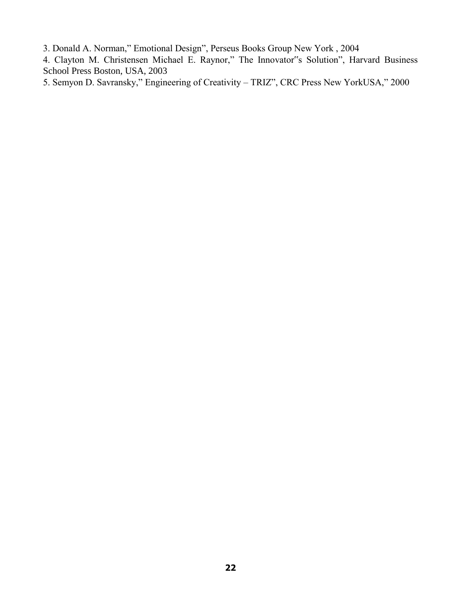3. Donald A. Norman," Emotional Design", Perseus Books Group New York , 2004

4. Clayton M. Christensen Michael E. Raynor," The Innovator"s Solution", Harvard Business School Press Boston, USA, 2003

5. Semyon D. Savransky," Engineering of Creativity – TRIZ", CRC Press New YorkUSA," 2000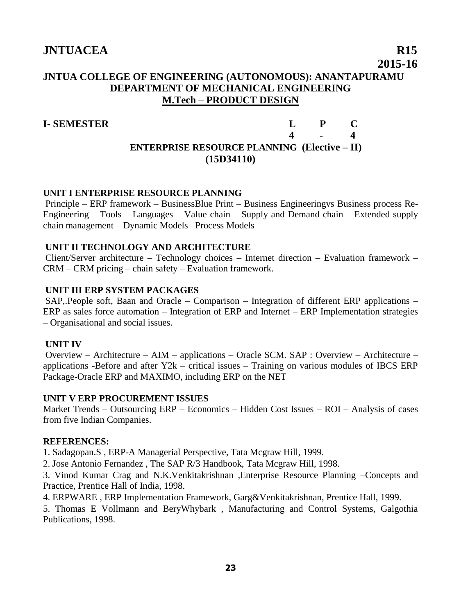## **JNTUA COLLEGE OF ENGINEERING (AUTONOMOUS): ANANTAPURAMU DEPARTMENT OF MECHANICAL ENGINEERING M.Tech – PRODUCT DESIGN**

#### **I- SEMESTER L P C**

## **4 - 4 ENTERPRISE RESOURCE PLANNING (Elective – II) (15D34110)**

#### **UNIT I ENTERPRISE RESOURCE PLANNING**

Principle – ERP framework – BusinessBlue Print – Business Engineeringvs Business process Re-Engineering – Tools – Languages – Value chain – Supply and Demand chain – Extended supply chain management – Dynamic Models –Process Models

#### **UNIT II TECHNOLOGY AND ARCHITECTURE**

Client/Server architecture – Technology choices – Internet direction – Evaluation framework – CRM – CRM pricing – chain safety – Evaluation framework.

#### **UNIT III ERP SYSTEM PACKAGES**

SAP,.People soft, Baan and Oracle – Comparison – Integration of different ERP applications – ERP as sales force automation – Integration of ERP and Internet – ERP Implementation strategies – Organisational and social issues.

#### **UNIT IV**

Overview – Architecture – AIM – applications – Oracle SCM. SAP : Overview – Architecture – applications -Before and after  $Y2k$  – critical issues – Training on various modules of IBCS ERP Package-Oracle ERP and MAXIMO, including ERP on the NET

#### **UNIT V ERP PROCUREMENT ISSUES**

Market Trends – Outsourcing ERP – Economics – Hidden Cost Issues – ROI – Analysis of cases from five Indian Companies.

#### **REFERENCES:**

1. Sadagopan.S , ERP-A Managerial Perspective, Tata Mcgraw Hill, 1999.

2. Jose Antonio Fernandez , The SAP R/3 Handbook, Tata Mcgraw Hill, 1998.

3. Vinod Kumar Crag and N.K.Venkitakrishnan ,Enterprise Resource Planning –Concepts and Practice, Prentice Hall of India, 1998.

4. ERPWARE , ERP Implementation Framework, Garg&Venkitakrishnan, Prentice Hall, 1999.

5. Thomas E Vollmann and BeryWhybark , Manufacturing and Control Systems, Galgothia Publications, 1998.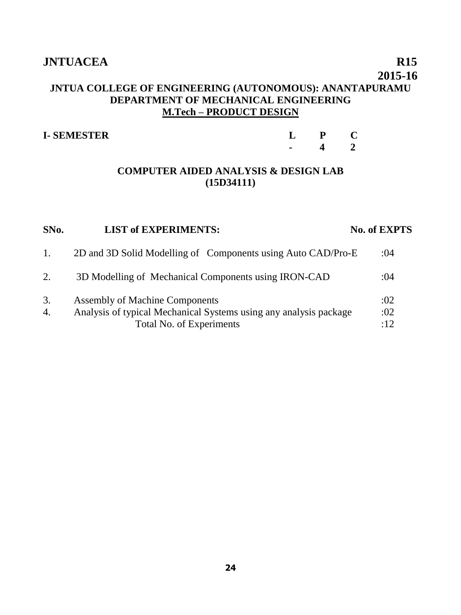#### **2015-16**

## **JNTUA COLLEGE OF ENGINEERING (AUTONOMOUS): ANANTAPURAMU DEPARTMENT OF MECHANICAL ENGINEERING M.Tech – PRODUCT DESIGN**

| <b>I-SEMESTER</b> |                |  |
|-------------------|----------------|--|
|                   | $\blacksquare$ |  |

#### **COMPUTER AIDED ANALYSIS & DESIGN LAB (15D34111)**

| SNo.     | <b>LIST of EXPERIMENTS:</b>                                                                                                            | <b>No. of EXPTS</b> |
|----------|----------------------------------------------------------------------------------------------------------------------------------------|---------------------|
| 1.       | 2D and 3D Solid Modelling of Components using Auto CAD/Pro-E                                                                           | :04                 |
| 2.       | 3D Modelling of Mechanical Components using IRON-CAD                                                                                   | :04                 |
| 3.<br>4. | <b>Assembly of Machine Components</b><br>Analysis of typical Mechanical Systems using any analysis package<br>Total No. of Experiments | :02<br>:02<br>:12   |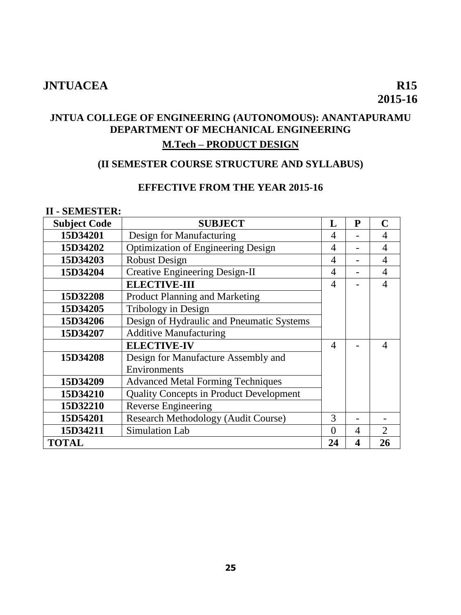# **2015-16**

## **JNTUA COLLEGE OF ENGINEERING (AUTONOMOUS): ANANTAPURAMU DEPARTMENT OF MECHANICAL ENGINEERING**

## **M.Tech – PRODUCT DESIGN**

## **(II SEMESTER COURSE STRUCTURE AND SYLLABUS)**

#### **EFFECTIVE FROM THE YEAR 2015-16**

#### **II - SEMESTER:**

| <b>Subject Code</b>                                  | <b>SUBJECT</b>                                 | L              | $\mathbf{P}$ | C                           |
|------------------------------------------------------|------------------------------------------------|----------------|--------------|-----------------------------|
| 15D34201                                             | Design for Manufacturing                       | 4              |              | 4                           |
| 15D34202                                             | <b>Optimization of Engineering Design</b>      | 4              |              | 4                           |
| 15D34203                                             | <b>Robust Design</b>                           | 4              |              | 4                           |
| 15D34204                                             | <b>Creative Engineering Design-II</b>          | $\overline{4}$ |              | 4                           |
|                                                      | <b>ELECTIVE-III</b>                            | $\overline{4}$ |              | 4                           |
| 15D32208                                             | <b>Product Planning and Marketing</b>          |                |              |                             |
| 15D34205                                             | Tribology in Design                            |                |              |                             |
| 15D34206                                             | Design of Hydraulic and Pneumatic Systems      |                |              |                             |
| 15D34207                                             | <b>Additive Manufacturing</b>                  |                |              |                             |
|                                                      | <b>ELECTIVE-IV</b>                             | $\overline{4}$ |              | 4                           |
| Design for Manufacture Assembly and<br>15D34208      |                                                |                |              |                             |
| Environments                                         |                                                |                |              |                             |
| <b>Advanced Metal Forming Techniques</b><br>15D34209 |                                                |                |              |                             |
| 15D34210                                             | <b>Quality Concepts in Product Development</b> |                |              |                             |
| 15D32210                                             | Reverse Engineering                            |                |              |                             |
| 15D54201                                             | <b>Research Methodology (Audit Course)</b>     | 3              |              |                             |
| 15D34211                                             | Simulation Lab                                 | $\Omega$       | 4            | $\mathcal{D}_{\mathcal{A}}$ |
| <b>TOTAL</b>                                         |                                                | 24             | 4            | 26                          |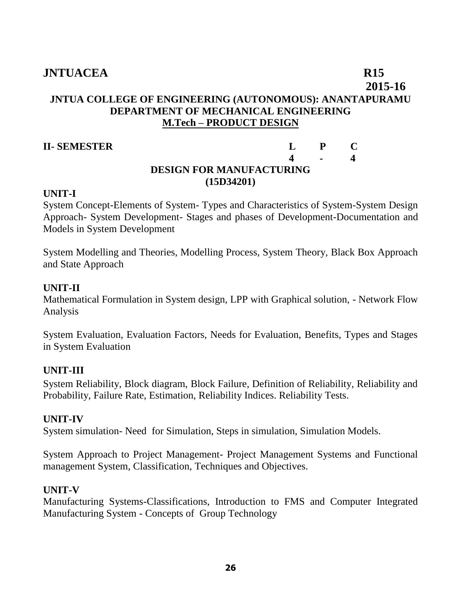## **2015-16 JNTUA COLLEGE OF ENGINEERING (AUTONOMOUS): ANANTAPURAMU DEPARTMENT OF MECHANICAL ENGINEERING M.Tech – PRODUCT DESIGN**

#### **II- SEMESTER L P C**

## **4 - 4 DESIGN FOR MANUFACTURING (15D34201)**

#### **UNIT-I**

System Concept-Elements of System- Types and Characteristics of System-System Design Approach- System Development- Stages and phases of Development-Documentation and Models in System Development

System Modelling and Theories, Modelling Process, System Theory, Black Box Approach and State Approach

#### **UNIT-II**

Mathematical Formulation in System design, LPP with Graphical solution, - Network Flow Analysis

System Evaluation, Evaluation Factors, Needs for Evaluation, Benefits, Types and Stages in System Evaluation

## **UNIT-III**

System Reliability, Block diagram, Block Failure, Definition of Reliability, Reliability and Probability, Failure Rate, Estimation, Reliability Indices. Reliability Tests.

#### **UNIT-IV**

System simulation- Need for Simulation, Steps in simulation, Simulation Models.

System Approach to Project Management- Project Management Systems and Functional management System, Classification, Techniques and Objectives.

#### **UNIT-V**

Manufacturing Systems-Classifications, Introduction to FMS and Computer Integrated Manufacturing System - Concepts of Group Technology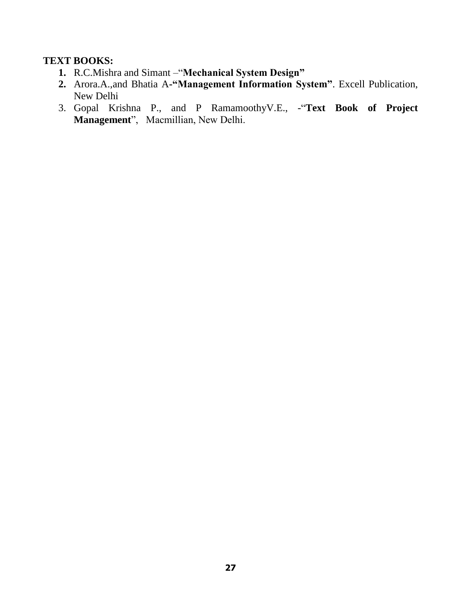#### **TEXT BOOKS:**

- **1.** R.C.Mishra and Simant –"**Mechanical System Design"**
- **2.** Arora.A.,and Bhatia A**-"Management Information System"**. Excell Publication, New Delhi
- 3. Gopal Krishna P., and P RamamoothyV.E., -"**Text Book of Project Management**", Macmillian, New Delhi.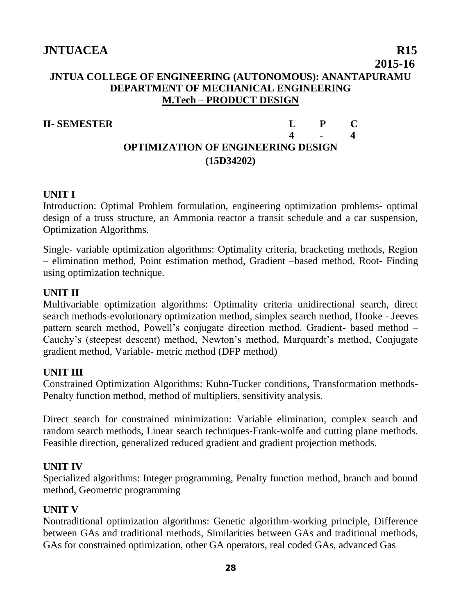## **2015-16 JNTUA COLLEGE OF ENGINEERING (AUTONOMOUS): ANANTAPURAMU DEPARTMENT OF MECHANICAL ENGINEERING M.Tech – PRODUCT DESIGN**

## **II- SEMESTER L P C**

## **4 - 4 OPTIMIZATION OF ENGINEERING DESIGN (15D34202)**

## **UNIT I**

Introduction: Optimal Problem formulation, engineering optimization problems- optimal design of a truss structure, an Ammonia reactor a transit schedule and a car suspension, Optimization Algorithms.

Single- variable optimization algorithms: Optimality criteria, bracketing methods, Region – elimination method, Point estimation method, Gradient –based method, Root- Finding using optimization technique.

## **UNIT II**

Multivariable optimization algorithms: Optimality criteria unidirectional search, direct search methods-evolutionary optimization method, simplex search method, Hooke - Jeeves pattern search method, Powell's conjugate direction method. Gradient- based method – Cauchy's (steepest descent) method, Newton's method, Marquardt's method, Conjugate gradient method, Variable- metric method (DFP method)

## **UNIT III**

Constrained Optimization Algorithms: Kuhn-Tucker conditions, Transformation methods-Penalty function method, method of multipliers, sensitivity analysis.

Direct search for constrained minimization: Variable elimination, complex search and random search methods, Linear search techniques-Frank-wolfe and cutting plane methods. Feasible direction, generalized reduced gradient and gradient projection methods.

## **UNIT IV**

Specialized algorithms: Integer programming, Penalty function method, branch and bound method, Geometric programming

## **UNIT V**

Nontraditional optimization algorithms: Genetic algorithm-working principle, Difference between GAs and traditional methods, Similarities between GAs and traditional methods, GAs for constrained optimization, other GA operators, real coded GAs, advanced Gas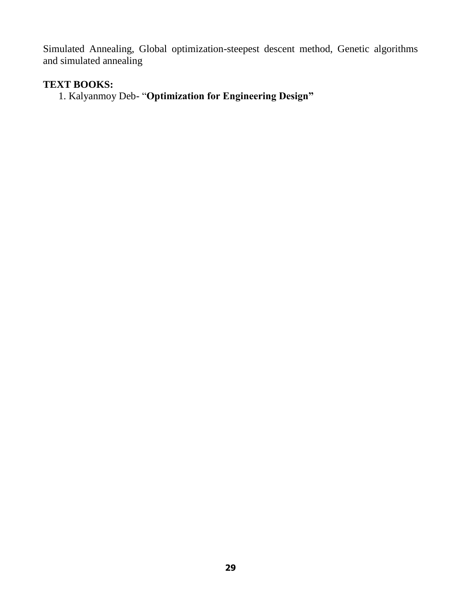Simulated Annealing, Global optimization-steepest descent method, Genetic algorithms and simulated annealing

## **TEXT BOOKS:**

1. Kalyanmoy Deb- "**Optimization for Engineering Design"**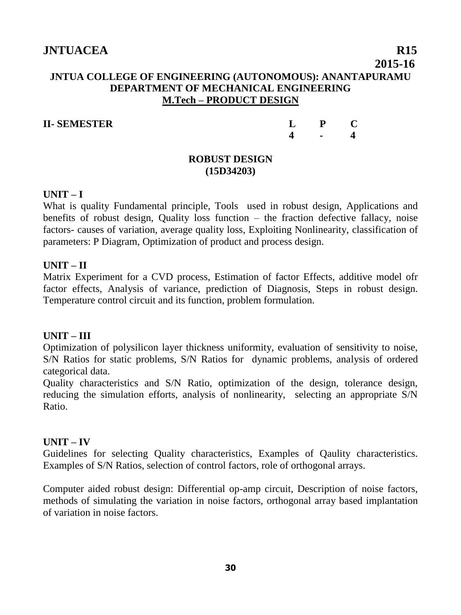## **2015-16 JNTUA COLLEGE OF ENGINEERING (AUTONOMOUS): ANANTAPURAMU DEPARTMENT OF MECHANICAL ENGINEERING M.Tech – PRODUCT DESIGN**

#### **II- SEMESTER**

| L                | P | C                       |
|------------------|---|-------------------------|
| $\boldsymbol{4}$ |   | $\overline{\mathbf{4}}$ |

#### **ROBUST DESIGN (15D34203)**

## **UNIT – I**

What is quality Fundamental principle, Tools used in robust design, Applications and benefits of robust design, Quality loss function – the fraction defective fallacy, noise factors- causes of variation, average quality loss, Exploiting Nonlinearity, classification of parameters: P Diagram, Optimization of product and process design.

#### **UNIT – II**

Matrix Experiment for a CVD process, Estimation of factor Effects, additive model ofr factor effects, Analysis of variance, prediction of Diagnosis, Steps in robust design. Temperature control circuit and its function, problem formulation.

#### **UNIT – III**

Optimization of polysilicon layer thickness uniformity, evaluation of sensitivity to noise, S/N Ratios for static problems, S/N Ratios for dynamic problems, analysis of ordered categorical data.

Quality characteristics and S/N Ratio, optimization of the design, tolerance design, reducing the simulation efforts, analysis of nonlinearity, selecting an appropriate S/N Ratio.

## **UNIT – IV**

Guidelines for selecting Quality characteristics, Examples of Qaulity characteristics. Examples of S/N Ratios, selection of control factors, role of orthogonal arrays.

Computer aided robust design: Differential op-amp circuit, Description of noise factors, methods of simulating the variation in noise factors, orthogonal array based implantation of variation in noise factors.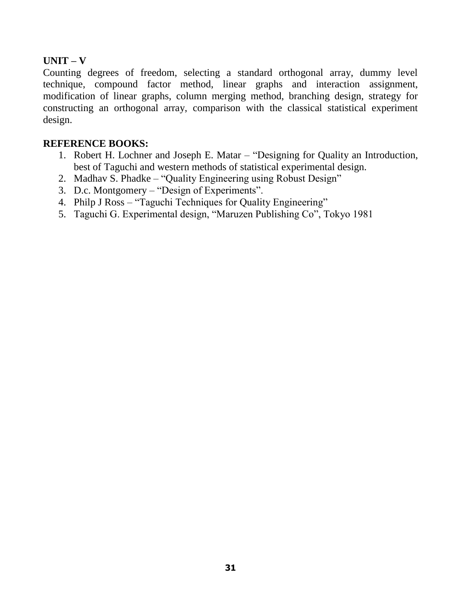## **UNIT – V**

Counting degrees of freedom, selecting a standard orthogonal array, dummy level technique, compound factor method, linear graphs and interaction assignment, modification of linear graphs, column merging method, branching design, strategy for constructing an orthogonal array, comparison with the classical statistical experiment design.

#### **REFERENCE BOOKS:**

- 1. Robert H. Lochner and Joseph E. Matar "Designing for Quality an Introduction, best of Taguchi and western methods of statistical experimental design.
- 2. Madhav S. Phadke "Quality Engineering using Robust Design"
- 3. D.c. Montgomery "Design of Experiments".
- 4. Philp J Ross "Taguchi Techniques for Quality Engineering"
- 5. Taguchi G. Experimental design, "Maruzen Publishing Co", Tokyo 1981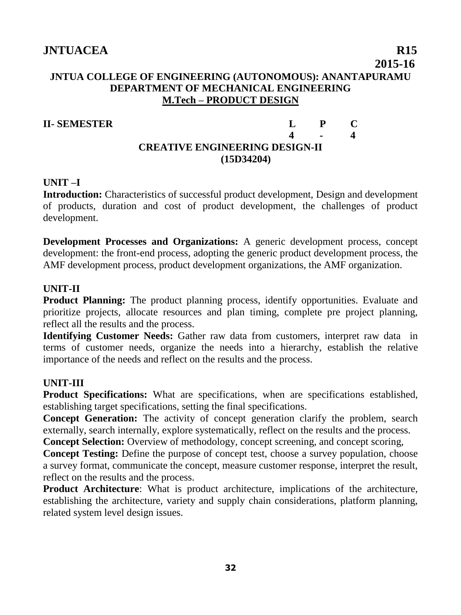## **2015-16 JNTUA COLLEGE OF ENGINEERING (AUTONOMOUS): ANANTAPURAMU DEPARTMENT OF MECHANICAL ENGINEERING M.Tech – PRODUCT DESIGN**

#### **II- SEMESTER L P C**

## **4 - 4 CREATIVE ENGINEERING DESIGN-II (15D34204)**

#### **UNIT –I**

**Introduction:** Characteristics of successful product development, Design and development of products, duration and cost of product development, the challenges of product development.

**Development Processes and Organizations:** A generic development process, concept development: the front-end process, adopting the generic product development process, the AMF development process, product development organizations, the AMF organization.

## **UNIT-II**

**Product Planning:** The product planning process, identify opportunities. Evaluate and prioritize projects, allocate resources and plan timing, complete pre project planning, reflect all the results and the process.

**Identifying Customer Needs:** Gather raw data from customers, interpret raw data in terms of customer needs, organize the needs into a hierarchy, establish the relative importance of the needs and reflect on the results and the process.

## **UNIT-III**

**Product Specifications:** What are specifications, when are specifications established, establishing target specifications, setting the final specifications.

**Concept Generation:** The activity of concept generation clarify the problem, search externally, search internally, explore systematically, reflect on the results and the process.

**Concept Selection:** Overview of methodology, concept screening, and concept scoring,

**Concept Testing:** Define the purpose of concept test, choose a survey population, choose a survey format, communicate the concept, measure customer response, interpret the result, reflect on the results and the process.

**Product Architecture**: What is product architecture, implications of the architecture, establishing the architecture, variety and supply chain considerations, platform planning, related system level design issues.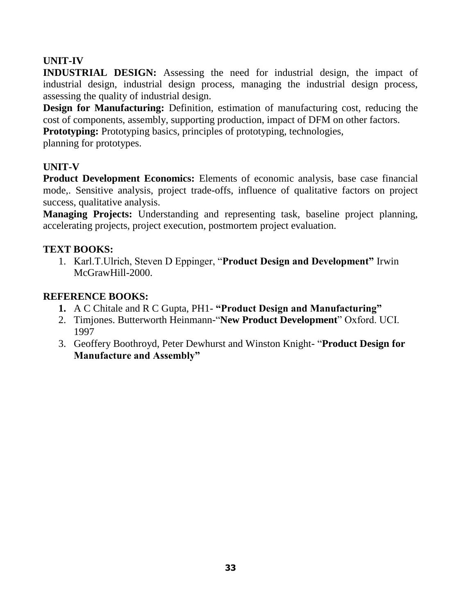## **UNIT-IV**

**INDUSTRIAL DESIGN:** Assessing the need for industrial design, the impact of industrial design, industrial design process, managing the industrial design process, assessing the quality of industrial design.

**Design for Manufacturing:** Definition, estimation of manufacturing cost, reducing the cost of components, assembly, supporting production, impact of DFM on other factors.

**Prototyping:** Prototyping basics, principles of prototyping, technologies,

planning for prototypes.

## **UNIT-V**

**Product Development Economics:** Elements of economic analysis, base case financial mode,. Sensitive analysis, project trade-offs, influence of qualitative factors on project success, qualitative analysis.

**Managing Projects:** Understanding and representing task, baseline project planning, accelerating projects, project execution, postmortem project evaluation.

## **TEXT BOOKS:**

1. Karl.T.Ulrich, Steven D Eppinger, "**Product Design and Development"** Irwin McGrawHill-2000.

## **REFERENCE BOOKS:**

- **1.** A C Chitale and R C Gupta, PH1- **"Product Design and Manufacturing"**
- 2. Timjones. Butterworth Heinmann-"**New Product Development**" Oxford. UCI. 1997
- 3. Geoffery Boothroyd, Peter Dewhurst and Winston Knight- "**Product Design for Manufacture and Assembly"**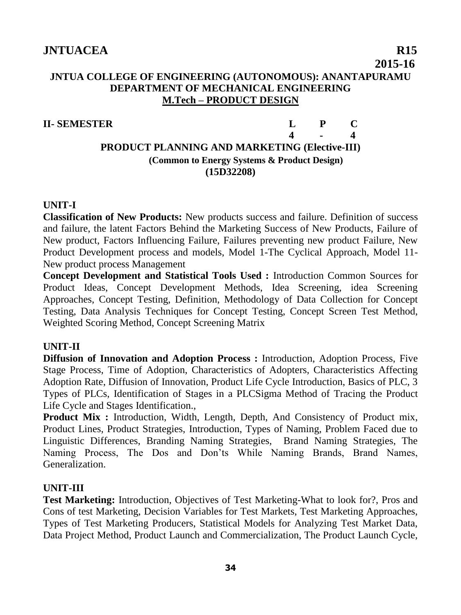## **2015-16 JNTUA COLLEGE OF ENGINEERING (AUTONOMOUS): ANANTAPURAMU DEPARTMENT OF MECHANICAL ENGINEERING M.Tech – PRODUCT DESIGN**

## **II- SEMESTER L P C**

**4 - 4 PRODUCT PLANNING AND MARKETING (Elective-III) (Common to Energy Systems & Product Design) (15D32208)**

## **UNIT-I**

**Classification of New Products:** New products success and failure. Definition of success and failure, the latent Factors Behind the Marketing Success of New Products, Failure of New product, Factors Influencing Failure, Failures preventing new product Failure, New Product Development process and models, Model 1-The Cyclical Approach, Model 11- New product process Management

**Concept Development and Statistical Tools Used :** Introduction Common Sources for Product Ideas, Concept Development Methods, Idea Screening, idea Screening Approaches, Concept Testing, Definition, Methodology of Data Collection for Concept Testing, Data Analysis Techniques for Concept Testing, Concept Screen Test Method, Weighted Scoring Method, Concept Screening Matrix

## **UNIT-II**

**Diffusion of Innovation and Adoption Process :** Introduction, Adoption Process, Five Stage Process, Time of Adoption, Characteristics of Adopters, Characteristics Affecting Adoption Rate, Diffusion of Innovation, Product Life Cycle Introduction, Basics of PLC, 3 Types of PLCs, Identification of Stages in a PLCSigma Method of Tracing the Product Life Cycle and Stages Identification.,

**Product Mix :** Introduction, Width, Length, Depth, And Consistency of Product mix, Product Lines, Product Strategies, Introduction, Types of Naming, Problem Faced due to Linguistic Differences, Branding Naming Strategies, Brand Naming Strategies, The Naming Process, The Dos and Don'ts While Naming Brands, Brand Names, Generalization.

## **UNIT-III**

**Test Marketing:** Introduction, Objectives of Test Marketing-What to look for?, Pros and Cons of test Marketing, Decision Variables for Test Markets, Test Marketing Approaches, Types of Test Marketing Producers, Statistical Models for Analyzing Test Market Data, Data Project Method, Product Launch and Commercialization, The Product Launch Cycle,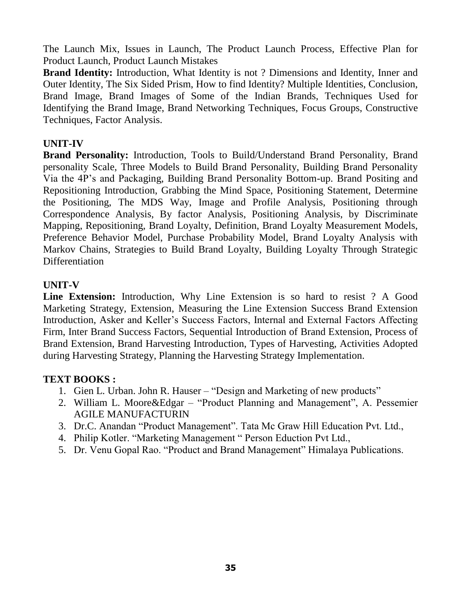The Launch Mix, Issues in Launch, The Product Launch Process, Effective Plan for Product Launch, Product Launch Mistakes

**Brand Identity:** Introduction, What Identity is not ? Dimensions and Identity, Inner and Outer Identity, The Six Sided Prism, How to find Identity? Multiple Identities, Conclusion, Brand Image, Brand Images of Some of the Indian Brands, Techniques Used for Identifying the Brand Image, Brand Networking Techniques, Focus Groups, Constructive Techniques, Factor Analysis.

## **UNIT-IV**

**Brand Personality:** Introduction, Tools to Build/Understand Brand Personality, Brand personality Scale, Three Models to Build Brand Personality, Building Brand Personality Via the 4P's and Packaging, Building Brand Personality Bottom-up. Brand Positing and Repositioning Introduction, Grabbing the Mind Space, Positioning Statement, Determine the Positioning, The MDS Way, Image and Profile Analysis, Positioning through Correspondence Analysis, By factor Analysis, Positioning Analysis, by Discriminate Mapping, Repositioning, Brand Loyalty, Definition, Brand Loyalty Measurement Models, Preference Behavior Model, Purchase Probability Model, Brand Loyalty Analysis with Markov Chains, Strategies to Build Brand Loyalty, Building Loyalty Through Strategic Differentiation

## **UNIT-V**

**Line Extension:** Introduction, Why Line Extension is so hard to resist ? A Good Marketing Strategy, Extension, Measuring the Line Extension Success Brand Extension Introduction, Asker and Keller's Success Factors, Internal and External Factors Affecting Firm, Inter Brand Success Factors, Sequential Introduction of Brand Extension, Process of Brand Extension, Brand Harvesting Introduction, Types of Harvesting, Activities Adopted during Harvesting Strategy, Planning the Harvesting Strategy Implementation.

## **TEXT BOOKS :**

- 1. Gien L. Urban. John R. Hauser "Design and Marketing of new products"
- 2. William L. Moore&Edgar "Product Planning and Management", A. Pessemier AGILE MANUFACTURIN
- 3. Dr.C. Anandan "Product Management". Tata Mc Graw Hill Education Pvt. Ltd.,
- 4. Philip Kotler. "Marketing Management " Person Eduction Pvt Ltd.,
- 5. Dr. Venu Gopal Rao. "Product and Brand Management" Himalaya Publications.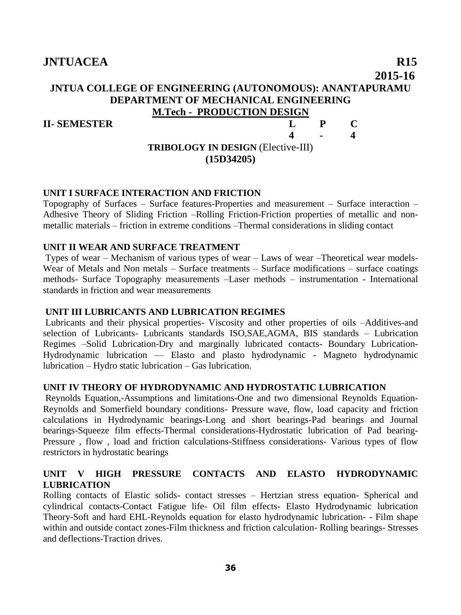## **2015-16 JNTUA COLLEGE OF ENGINEERING (AUTONOMOUS): ANANTAPURAMU DEPARTMENT OF MECHANICAL ENGINEERING M.Tech - PRODUCTION DESIGN II- SEMESTER L P C 4 - 4**

## **TRIBOLOGY IN DESIGN** (Elective-III) **(15D34205)**

#### **UNIT I SURFACE INTERACTION AND FRICTION**

Topography of Surfaces – Surface features-Properties and measurement – Surface interaction – Adhesive Theory of Sliding Friction –Rolling Friction-Friction properties of metallic and nonmetallic materials – friction in extreme conditions –Thermal considerations in sliding contact

#### **UNIT II WEAR AND SURFACE TREATMENT**

Types of wear – Mechanism of various types of wear – Laws of wear –Theoretical wear models-Wear of Metals and Non metals – Surface treatments – Surface modifications – surface coatings methods- Surface Topography measurements –Laser methods – instrumentation - International standards in friction and wear measurements

#### **UNIT III LUBRICANTS AND LUBRICATION REGIMES**

Lubricants and their physical properties- Viscosity and other properties of oils –Additives-and selection of Lubricants- Lubricants standards ISO,SAE,AGMA, BIS standards – Lubrication Regimes –Solid Lubrication-Dry and marginally lubricated contacts- Boundary Lubrication-Hydrodynamic lubrication –– Elasto and plasto hydrodynamic - Magneto hydrodynamic lubrication – Hydro static lubrication – Gas lubrication.

#### **UNIT IV THEORY OF HYDRODYNAMIC AND HYDROSTATIC LUBRICATION**

Reynolds Equation,-Assumptions and limitations-One and two dimensional Reynolds Equation-Reynolds and Somerfield boundary conditions- Pressure wave, flow, load capacity and friction calculations in Hydrodynamic bearings-Long and short bearings-Pad bearings and Journal bearings-Squeeze film effects-Thermal considerations-Hydrostatic lubrication of Pad bearing-Pressure , flow , load and friction calculations-Stiffness considerations- Various types of flow restrictors in hydrostatic bearings

#### **UNIT V HIGH PRESSURE CONTACTS AND ELASTO HYDRODYNAMIC LUBRICATION**

Rolling contacts of Elastic solids**-** contact stresses – Hertzian stress equation- Spherical and cylindrical contacts-Contact Fatigue life- Oil film effects- Elasto Hydrodynamic lubrication Theory-Soft and hard EHL-Reynolds equation for elasto hydrodynamic lubrication- - Film shape within and outside contact zones-Film thickness and friction calculation- Rolling bearings- Stresses and deflections-Traction drives.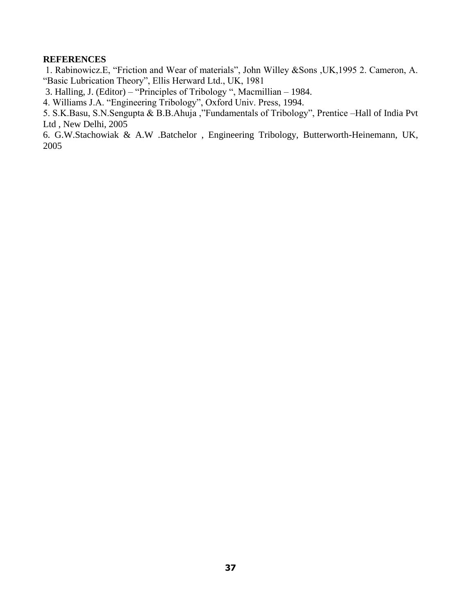#### **REFERENCES**

1. Rabinowicz.E, "Friction and Wear of materials", John Willey &Sons ,UK,1995 2. Cameron, A. "Basic Lubrication Theory", Ellis Herward Ltd., UK, 1981

3. Halling, J. (Editor) – "Principles of Tribology ", Macmillian – 1984.

4. Williams J.A. "Engineering Tribology", Oxford Univ. Press, 1994.

5. S.K.Basu, S.N.Sengupta & B.B.Ahuja ,"Fundamentals of Tribology", Prentice –Hall of India Pvt Ltd , New Delhi, 2005

6. G.W.Stachowiak & A.W .Batchelor , Engineering Tribology, Butterworth-Heinemann, UK, 2005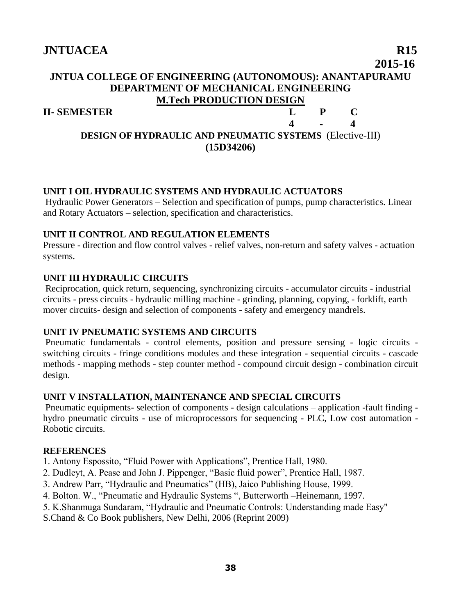## **2015-16 JNTUA COLLEGE OF ENGINEERING (AUTONOMOUS): ANANTAPURAMU DEPARTMENT OF MECHANICAL ENGINEERING M.Tech PRODUCTION DESIGN II- SEMESTER L P C 4 - 4**

## **DESIGN OF HYDRAULIC AND PNEUMATIC SYSTEMS** (Elective-III) **(15D34206)**

#### **UNIT I OIL HYDRAULIC SYSTEMS AND HYDRAULIC ACTUATORS**

Hydraulic Power Generators – Selection and specification of pumps, pump characteristics. Linear and Rotary Actuators – selection, specification and characteristics.

#### **UNIT II CONTROL AND REGULATION ELEMENTS**

Pressure - direction and flow control valves - relief valves, non-return and safety valves - actuation systems.

#### **UNIT III HYDRAULIC CIRCUITS**

Reciprocation, quick return, sequencing, synchronizing circuits - accumulator circuits - industrial circuits - press circuits - hydraulic milling machine - grinding, planning, copying, - forklift, earth mover circuits- design and selection of components - safety and emergency mandrels.

#### **UNIT IV PNEUMATIC SYSTEMS AND CIRCUITS**

Pneumatic fundamentals - control elements, position and pressure sensing - logic circuits switching circuits - fringe conditions modules and these integration - sequential circuits - cascade methods - mapping methods - step counter method - compound circuit design - combination circuit design.

#### **UNIT V INSTALLATION, MAINTENANCE AND SPECIAL CIRCUITS**

Pneumatic equipments- selection of components - design calculations – application -fault finding hydro pneumatic circuits - use of microprocessors for sequencing - PLC, Low cost automation - Robotic circuits.

#### **REFERENCES**

- 1. Antony Espossito, "Fluid Power with Applications", Prentice Hall, 1980.
- 2. Dudleyt, A. Pease and John J. Pippenger, "Basic fluid power", Prentice Hall, 1987.
- 3. Andrew Parr, "Hydraulic and Pneumatics" (HB), Jaico Publishing House, 1999.
- 4. Bolton. W., "Pneumatic and Hydraulic Systems ", Butterworth –Heinemann, 1997.
- 5. K.Shanmuga Sundaram, "Hydraulic and Pneumatic Controls: Understanding made Easy"
- S.Chand & Co Book publishers, New Delhi, 2006 (Reprint 2009)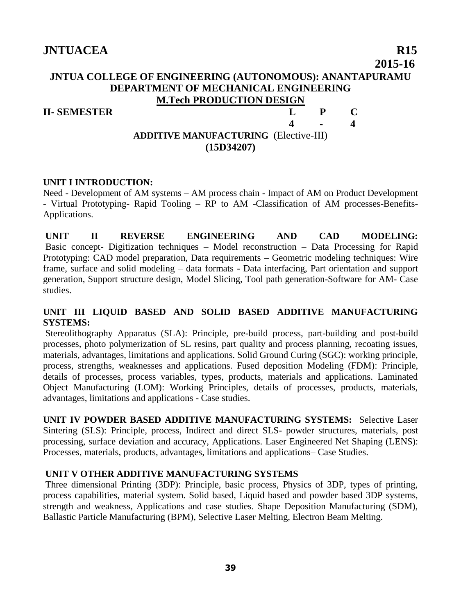## **2015-16 JNTUA COLLEGE OF ENGINEERING (AUTONOMOUS): ANANTAPURAMU DEPARTMENT OF MECHANICAL ENGINEERING M.Tech PRODUCTION DESIGN**

#### **II- SEMESTER L P C**

## **4 - 4 ADDITIVE MANUFACTURING** (Elective-III) **(15D34207)**

#### **UNIT I INTRODUCTION:**

Need - Development of AM systems – AM process chain - Impact of AM on Product Development - Virtual Prototyping- Rapid Tooling – RP to AM -Classification of AM processes-Benefits-Applications.

**UNIT II REVERSE ENGINEERING AND CAD MODELING:**  Basic concept- Digitization techniques – Model reconstruction – Data Processing for Rapid Prototyping: CAD model preparation, Data requirements – Geometric modeling techniques: Wire frame, surface and solid modeling – data formats - Data interfacing, Part orientation and support generation, Support structure design, Model Slicing, Tool path generation-Software for AM- Case studies.

#### **UNIT III LIQUID BASED AND SOLID BASED ADDITIVE MANUFACTURING SYSTEMS:**

Stereolithography Apparatus (SLA): Principle, pre-build process, part-building and post-build processes, photo polymerization of SL resins, part quality and process planning, recoating issues, materials, advantages, limitations and applications. Solid Ground Curing (SGC): working principle, process, strengths, weaknesses and applications. Fused deposition Modeling (FDM): Principle, details of processes, process variables, types, products, materials and applications. Laminated Object Manufacturing (LOM): Working Principles, details of processes, products, materials, advantages, limitations and applications - Case studies.

**UNIT IV POWDER BASED ADDITIVE MANUFACTURING SYSTEMS:** Selective Laser Sintering (SLS): Principle, process, Indirect and direct SLS- powder structures, materials, post processing, surface deviation and accuracy, Applications. Laser Engineered Net Shaping (LENS): Processes, materials, products, advantages, limitations and applications– Case Studies.

#### **UNIT V OTHER ADDITIVE MANUFACTURING SYSTEMS**

Three dimensional Printing (3DP): Principle, basic process, Physics of 3DP, types of printing, process capabilities, material system. Solid based, Liquid based and powder based 3DP systems, strength and weakness, Applications and case studies. Shape Deposition Manufacturing (SDM), Ballastic Particle Manufacturing (BPM), Selective Laser Melting, Electron Beam Melting.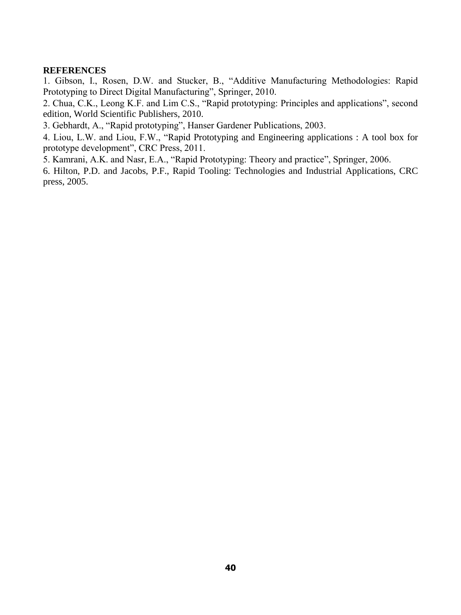#### **REFERENCES**

1. Gibson, I., Rosen, D.W. and Stucker, B., "Additive Manufacturing Methodologies: Rapid Prototyping to Direct Digital Manufacturing", Springer, 2010.

2. Chua, C.K., Leong K.F. and Lim C.S., "Rapid prototyping: Principles and applications", second edition, World Scientific Publishers, 2010.

3. Gebhardt, A., "Rapid prototyping", Hanser Gardener Publications, 2003.

4. Liou, L.W. and Liou, F.W., "Rapid Prototyping and Engineering applications : A tool box for prototype development", CRC Press, 2011.

5. Kamrani, A.K. and Nasr, E.A., "Rapid Prototyping: Theory and practice", Springer, 2006.

6. Hilton, P.D. and Jacobs, P.F., Rapid Tooling: Technologies and Industrial Applications, CRC press, 2005.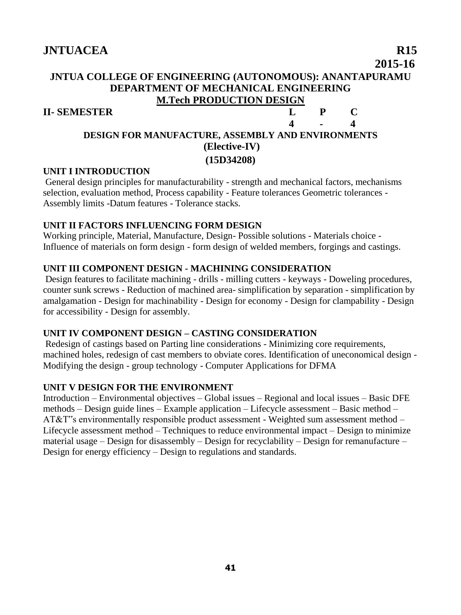## **2015-16 JNTUA COLLEGE OF ENGINEERING (AUTONOMOUS): ANANTAPURAMU DEPARTMENT OF MECHANICAL ENGINEERING M.Tech PRODUCTION DESIGN II- SEMESTER L P C**

#### **4 - 4 DESIGN FOR MANUFACTURE, ASSEMBLY AND ENVIRONMENTS (Elective-IV) (15D34208)**

## **UNIT I INTRODUCTION**

General design principles for manufacturability - strength and mechanical factors, mechanisms selection, evaluation method, Process capability - Feature tolerances Geometric tolerances -Assembly limits -Datum features - Tolerance stacks.

## **UNIT II FACTORS INFLUENCING FORM DESIGN**

Working principle, Material, Manufacture, Design- Possible solutions - Materials choice - Influence of materials on form design - form design of welded members, forgings and castings.

## **UNIT III COMPONENT DESIGN - MACHINING CONSIDERATION**

Design features to facilitate machining - drills - milling cutters - keyways - Doweling procedures, counter sunk screws - Reduction of machined area- simplification by separation - simplification by amalgamation - Design for machinability - Design for economy - Design for clampability - Design for accessibility - Design for assembly.

## **UNIT IV COMPONENT DESIGN – CASTING CONSIDERATION**

Redesign of castings based on Parting line considerations - Minimizing core requirements, machined holes, redesign of cast members to obviate cores. Identification of uneconomical design - Modifying the design - group technology - Computer Applications for DFMA

#### **UNIT V DESIGN FOR THE ENVIRONMENT**

Introduction – Environmental objectives – Global issues – Regional and local issues – Basic DFE methods – Design guide lines – Example application – Lifecycle assessment – Basic method – AT&T"s environmentally responsible product assessment - Weighted sum assessment method – Lifecycle assessment method – Techniques to reduce environmental impact – Design to minimize material usage – Design for disassembly – Design for recyclability – Design for remanufacture – Design for energy efficiency – Design to regulations and standards.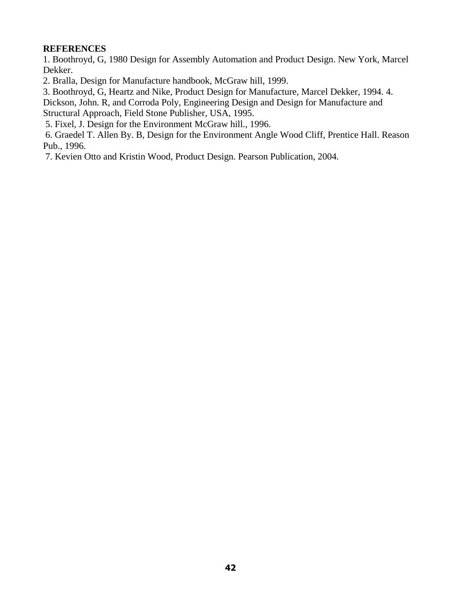#### **REFERENCES**

1. Boothroyd, G, 1980 Design for Assembly Automation and Product Design. New York, Marcel Dekker.

2. Bralla, Design for Manufacture handbook, McGraw hill, 1999.

3. Boothroyd, G, Heartz and Nike, Product Design for Manufacture, Marcel Dekker, 1994. 4.

Dickson, John. R, and Corroda Poly, Engineering Design and Design for Manufacture and Structural Approach, Field Stone Publisher, USA, 1995.

5. Fixel, J. Design for the Environment McGraw hill., 1996.

6. Graedel T. Allen By. B, Design for the Environment Angle Wood Cliff, Prentice Hall. Reason Pub., 1996.

7. Kevien Otto and Kristin Wood, Product Design. Pearson Publication, 2004.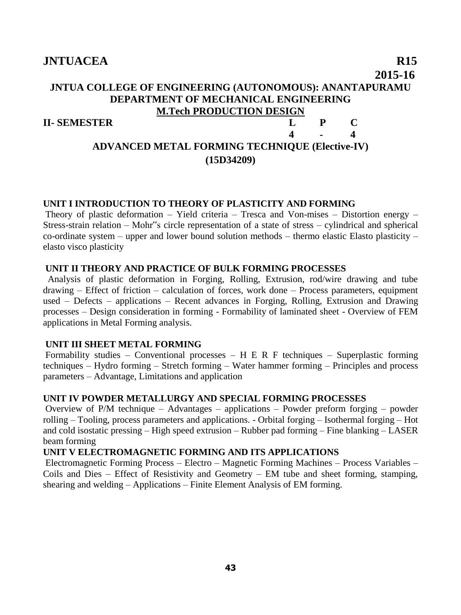## **JNTUACEA** R15  **2015-16 JNTUA COLLEGE OF ENGINEERING (AUTONOMOUS): ANANTAPURAMU DEPARTMENT OF MECHANICAL ENGINEERING M.Tech PRODUCTION DESIGN II- SEMESTER L P C 4 - 4 ADVANCED METAL FORMING TECHNIQUE (Elective-IV) (15D34209)**

#### **UNIT I INTRODUCTION TO THEORY OF PLASTICITY AND FORMING**

Theory of plastic deformation – Yield criteria – Tresca and Von-mises – Distortion energy – Stress-strain relation – Mohr"s circle representation of a state of stress – cylindrical and spherical co-ordinate system – upper and lower bound solution methods – thermo elastic Elasto plasticity – elasto visco plasticity

#### **UNIT II THEORY AND PRACTICE OF BULK FORMING PROCESSES**

 Analysis of plastic deformation in Forging, Rolling, Extrusion, rod/wire drawing and tube drawing – Effect of friction – calculation of forces, work done – Process parameters, equipment used – Defects – applications – Recent advances in Forging, Rolling, Extrusion and Drawing processes – Design consideration in forming - Formability of laminated sheet - Overview of FEM applications in Metal Forming analysis.

#### **UNIT III SHEET METAL FORMING**

Formability studies – Conventional processes – H E R F techniques – Superplastic forming techniques – Hydro forming – Stretch forming – Water hammer forming – Principles and process parameters – Advantage, Limitations and application

#### **UNIT IV POWDER METALLURGY AND SPECIAL FORMING PROCESSES**

Overview of P/M technique – Advantages – applications – Powder preform forging – powder rolling – Tooling, process parameters and applications. - Orbital forging – Isothermal forging – Hot and cold isostatic pressing – High speed extrusion – Rubber pad forming – Fine blanking – LASER beam forming

#### **UNIT V ELECTROMAGNETIC FORMING AND ITS APPLICATIONS**

Electromagnetic Forming Process – Electro – Magnetic Forming Machines – Process Variables – Coils and Dies – Effect of Resistivity and Geometry – EM tube and sheet forming, stamping, shearing and welding – Applications – Finite Element Analysis of EM forming.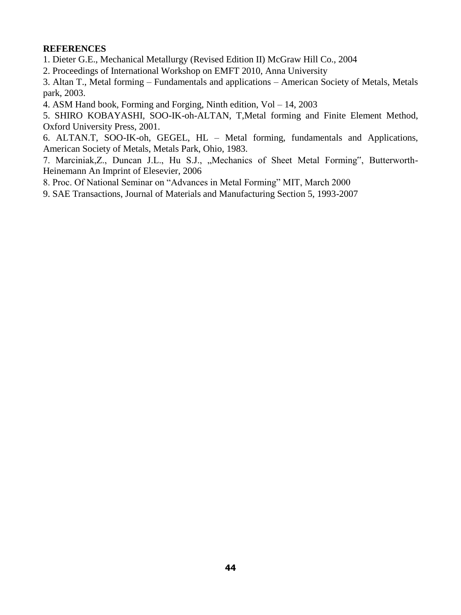#### **REFERENCES**

- 1. Dieter G.E., Mechanical Metallurgy (Revised Edition II) McGraw Hill Co., 2004
- 2. Proceedings of International Workshop on EMFT 2010, Anna University

3. Altan T., Metal forming – Fundamentals and applications – American Society of Metals, Metals park, 2003.

4. ASM Hand book, Forming and Forging, Ninth edition, Vol – 14, 2003

5. SHIRO KOBAYASHI, SOO-IK-oh-ALTAN, T,Metal forming and Finite Element Method, Oxford University Press, 2001.

6. ALTAN.T, SOO-IK-oh, GEGEL, HL – Metal forming, fundamentals and Applications, American Society of Metals, Metals Park, Ohio, 1983.

7. Marciniak, Z., Duncan J.L., Hu S.J., "Mechanics of Sheet Metal Forming", Butterworth-Heinemann An Imprint of Elesevier, 2006

- 8. Proc. Of National Seminar on "Advances in Metal Forming" MIT, March 2000
- 9. SAE Transactions, Journal of Materials and Manufacturing Section 5, 1993-2007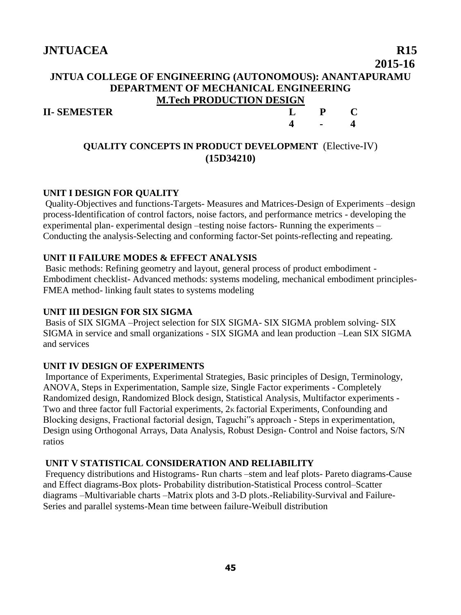## **2015-16 JNTUA COLLEGE OF ENGINEERING (AUTONOMOUS): ANANTAPURAMU DEPARTMENT OF MECHANICAL ENGINEERING M.Tech PRODUCTION DESIGN**

#### **II- SEMESTER L P C**

## **QUALITY CONCEPTS IN PRODUCT DEVELOPMENT** (Elective-IV) **(15D34210)**

**4 - 4**

#### **UNIT I DESIGN FOR QUALITY**

Quality-Objectives and functions-Targets- Measures and Matrices-Design of Experiments –design process-Identification of control factors, noise factors, and performance metrics - developing the experimental plan- experimental design –testing noise factors- Running the experiments – Conducting the analysis-Selecting and conforming factor-Set points-reflecting and repeating.

#### **UNIT II FAILURE MODES & EFFECT ANALYSIS**

Basic methods: Refining geometry and layout, general process of product embodiment - Embodiment checklist- Advanced methods: systems modeling, mechanical embodiment principles-FMEA method- linking fault states to systems modeling

#### **UNIT III DESIGN FOR SIX SIGMA**

Basis of SIX SIGMA –Project selection for SIX SIGMA- SIX SIGMA problem solving- SIX SIGMA in service and small organizations - SIX SIGMA and lean production –Lean SIX SIGMA and services

#### **UNIT IV DESIGN OF EXPERIMENTS**

Importance of Experiments, Experimental Strategies, Basic principles of Design, Terminology, ANOVA, Steps in Experimentation, Sample size, Single Factor experiments - Completely Randomized design, Randomized Block design, Statistical Analysis, Multifactor experiments - Two and three factor full Factorial experiments, 2<sub>K</sub> factorial Experiments, Confounding and Blocking designs, Fractional factorial design, Taguchi"s approach - Steps in experimentation, Design using Orthogonal Arrays, Data Analysis, Robust Design- Control and Noise factors, S/N ratios

## **UNIT V STATISTICAL CONSIDERATION AND RELIABILITY**

Frequency distributions and Histograms- Run charts –stem and leaf plots- Pareto diagrams-Cause and Effect diagrams-Box plots- Probability distribution-Statistical Process control–Scatter diagrams –Multivariable charts –Matrix plots and 3-D plots.-Reliability-Survival and Failure-Series and parallel systems-Mean time between failure-Weibull distribution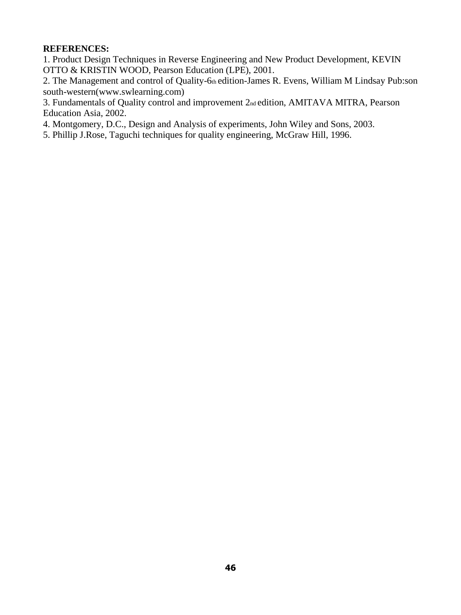#### **REFERENCES:**

1. Product Design Techniques in Reverse Engineering and New Product Development, KEVIN OTTO & KRISTIN WOOD, Pearson Education (LPE), 2001.

2. The Management and control of Quality-6th edition-James R. Evens, William M Lindsay Pub:son south-western(www.swlearning.com)

3. Fundamentals of Quality control and improvement 2nd edition, AMITAVA MITRA, Pearson Education Asia, 2002.

4. Montgomery, D.C., Design and Analysis of experiments, John Wiley and Sons, 2003.

5. Phillip J.Rose, Taguchi techniques for quality engineering, McGraw Hill, 1996.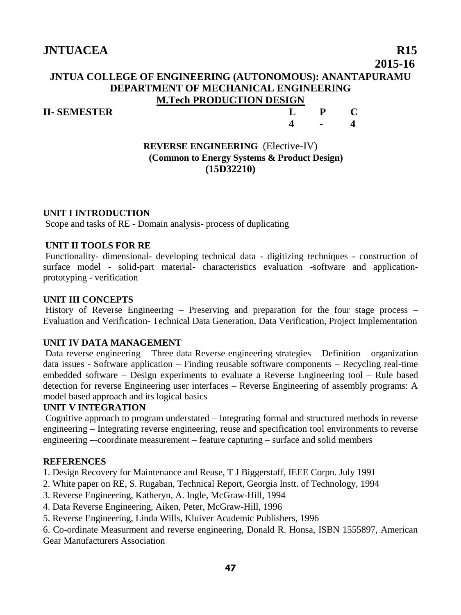## **2015-16 JNTUA COLLEGE OF ENGINEERING (AUTONOMOUS): ANANTAPURAMU DEPARTMENT OF MECHANICAL ENGINEERING M.Tech PRODUCTION DESIGN**

## **II- SEMESTER L P C 4 - 4**

#### **REVERSE ENGINEERING** (Elective-IV) **(Common to Energy Systems & Product Design) (15D32210)**

#### **UNIT I INTRODUCTION**

Scope and tasks of RE - Domain analysis- process of duplicating

#### **UNIT II TOOLS FOR RE**

Functionality- dimensional- developing technical data - digitizing techniques - construction of surface model - solid-part material- characteristics evaluation -software and applicationprototyping - verification

#### **UNIT III CONCEPTS**

History of Reverse Engineering – Preserving and preparation for the four stage process – Evaluation and Verification- Technical Data Generation, Data Verification, Project Implementation

#### **UNIT IV DATA MANAGEMENT**

Data reverse engineering – Three data Reverse engineering strategies – Definition – organization data issues - Software application – Finding reusable software components – Recycling real-time embedded software – Design experiments to evaluate a Reverse Engineering tool – Rule based detection for reverse Engineering user interfaces – Reverse Engineering of assembly programs: A model based approach and its logical basics

#### **UNIT V INTEGRATION**

Cognitive approach to program understated – Integrating formal and structured methods in reverse engineering – Integrating reverse engineering, reuse and specification tool environments to reverse engineering --coordinate measurement - feature capturing - surface and solid members

#### **REFERENCES**

1. Design Recovery for Maintenance and Reuse, T J Biggerstaff, IEEE Corpn. July 1991

- 2. White paper on RE, S. Rugaban, Technical Report, Georgia Instt. of Technology, 1994
- 3. Reverse Engineering, Katheryn, A. Ingle, McGraw-Hill, 1994
- 4. Data Reverse Engineering, Aiken, Peter, McGraw-Hill, 1996
- 5. Reverse Engineering, Linda Wills, Kluiver Academic Publishers, 1996

6. Co-ordinate Measurment and reverse engineering, Donald R. Honsa, ISBN 1555897, American Gear Manufacturers Association